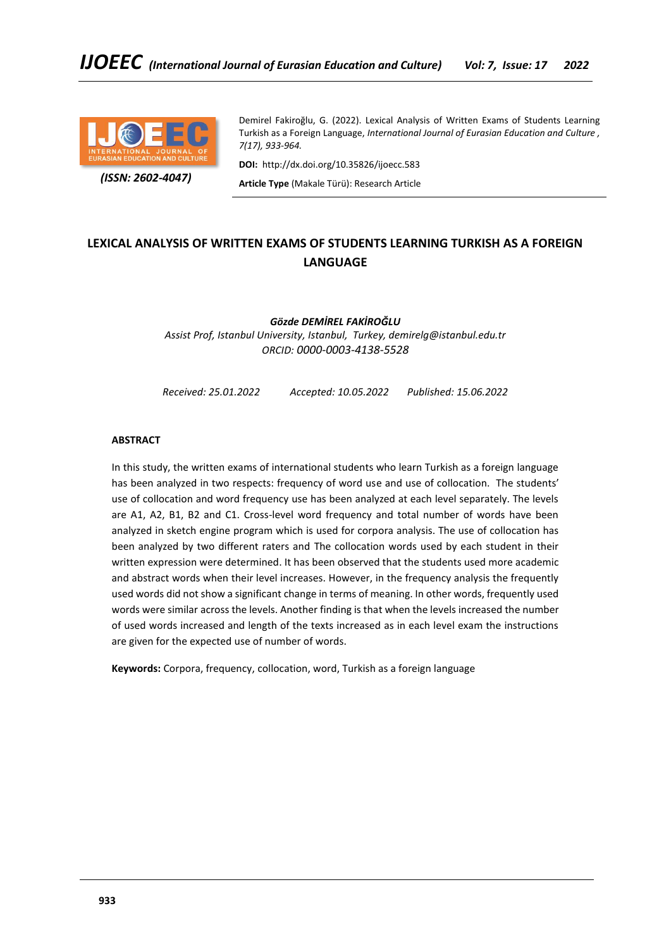

 *(ISSN: 2602-4047)*

Demirel Fakiroğlu, G. (2022). Lexical Analysis of Written Exams of Students Learning Turkish as a Foreign Language, *International Journal of Eurasian Education and Culture , 7(17), 933-964.*

**DOI:** http://dx.doi.org/10.35826/ijoecc.583

**Article Type** (Makale Türü): Research Article

# **LEXICAL ANALYSIS OF WRITTEN EXAMS OF STUDENTS LEARNING TURKISH AS A FOREIGN LANGUAGE**

*Gözde DEMİREL FAKİROĞLU Assist Prof, Istanbul University, Istanbul, Turkey, demirelg@istanbul.edu.tr ORCID: 0000-0003-4138-5528*

*Received: 25.01.2022 Accepted: 10.05.2022 Published: 15.06.2022*

## **ABSTRACT**

In this study, the written exams of international students who learn Turkish as a foreign language has been analyzed in two respects: frequency of word use and use of collocation. The students' use of collocation and word frequency use has been analyzed at each level separately. The levels are A1, A2, B1, B2 and C1. Cross-level word frequency and total number of words have been analyzed in sketch engine program which is used for corpora analysis. The use of collocation has been analyzed by two different raters and The collocation words used by each student in their written expression were determined. It has been observed that the students used more academic and abstract words when their level increases. However, in the frequency analysis the frequently used words did not show a significant change in terms of meaning. In other words, frequently used words were similar across the levels. Another finding is that when the levels increased the number of used words increased and length of the texts increased as in each level exam the instructions are given for the expected use of number of words.

**Keywords:** Corpora, frequency, collocation, word, Turkish as a foreign language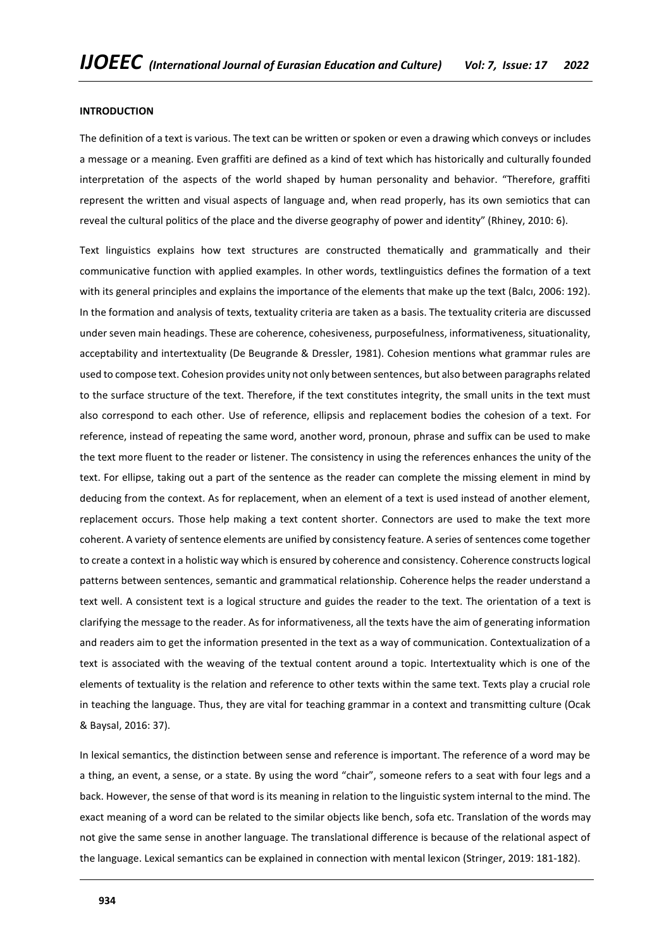#### **INTRODUCTION**

The definition of a text is various. The text can be written or spoken or even a drawing which conveys or includes a message or a meaning. Even graffiti are defined as a kind of text which has historically and culturally founded interpretation of the aspects of the world shaped by human personality and behavior. "Therefore, graffiti represent the written and visual aspects of language and, when read properly, has its own semiotics that can reveal the cultural politics of the place and the diverse geography of power and identity" (Rhiney, 2010: 6).

Text linguistics explains how text structures are constructed thematically and grammatically and their communicative function with applied examples. In other words, textlinguistics defines the formation of a text with its general principles and explains the importance of the elements that make up the text (Balcı, 2006: 192). In the formation and analysis of texts, textuality criteria are taken as a basis. The textuality criteria are discussed under seven main headings. These are coherence, cohesiveness, purposefulness, informativeness, situationality, acceptability and intertextuality (De Beugrande & Dressler, 1981). Cohesion mentions what grammar rules are used to compose text. Cohesion provides unity not only between sentences, but also between paragraphs related to the surface structure of the text. Therefore, if the text constitutes integrity, the small units in the text must also correspond to each other. Use of reference, ellipsis and replacement bodies the cohesion of a text. For reference, instead of repeating the same word, another word, pronoun, phrase and suffix can be used to make the text more fluent to the reader or listener. The consistency in using the references enhances the unity of the text. For ellipse, taking out a part of the sentence as the reader can complete the missing element in mind by deducing from the context. As for replacement, when an element of a text is used instead of another element, replacement occurs. Those help making a text content shorter. Connectors are used to make the text more coherent. A variety of sentence elements are unified by consistency feature. A series of sentences come together to create a context in a holistic way which is ensured by coherence and consistency. Coherence constructs logical patterns between sentences, semantic and grammatical relationship. Coherence helps the reader understand a text well. A consistent text is a logical structure and guides the reader to the text. The orientation of a text is clarifying the message to the reader. As for informativeness, all the texts have the aim of generating information and readers aim to get the information presented in the text as a way of communication. Contextualization of a text is associated with the weaving of the textual content around a topic. Intertextuality which is one of the elements of textuality is the relation and reference to other texts within the same text. Texts play a crucial role in teaching the language. Thus, they are vital for teaching grammar in a context and transmitting culture (Ocak & Baysal, 2016: 37).

In lexical semantics, the distinction between sense and reference is important. The reference of a word may be a thing, an event, a sense, or a state. By using the word "chair", someone refers to a seat with four legs and a back. However, the sense of that word is its meaning in relation to the linguistic system internal to the mind. The exact meaning of a word can be related to the similar objects like bench, sofa etc. Translation of the words may not give the same sense in another language. The translational difference is because of the relational aspect of the language. Lexical semantics can be explained in connection with mental lexicon (Stringer, 2019: 181-182).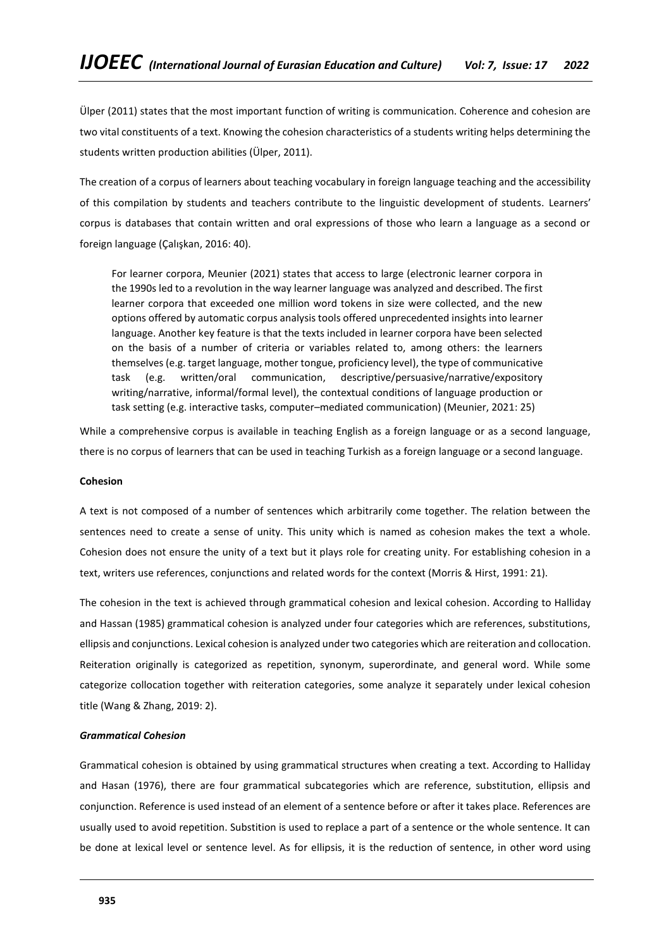Ülper (2011) states that the most important function of writing is communication. Coherence and cohesion are two vital constituents of a text. Knowing the cohesion characteristics of a students writing helps determining the students written production abilities (Ülper, 2011).

The creation of a corpus of learners about teaching vocabulary in foreign language teaching and the accessibility of this compilation by students and teachers contribute to the linguistic development of students. Learners' corpus is databases that contain written and oral expressions of those who learn a language as a second or foreign language (Çalışkan, 2016: 40).

For learner corpora, Meunier (2021) states that access to large (electronic learner corpora in the 1990s led to a revolution in the way learner language was analyzed and described. The first learner corpora that exceeded one million word tokens in size were collected, and the new options offered by automatic corpus analysis tools offered unprecedented insights into learner language. Another key feature is that the texts included in learner corpora have been selected on the basis of a number of criteria or variables related to, among others: the learners themselves (e.g. target language, mother tongue, proficiency level), the type of communicative task (e.g. written/oral communication, descriptive/persuasive/narrative/expository writing/narrative, informal/formal level), the contextual conditions of language production or task setting (e.g. interactive tasks, computer–mediated communication) (Meunier, 2021: 25)

While a comprehensive corpus is available in teaching English as a foreign language or as a second language, there is no corpus of learners that can be used in teaching Turkish as a foreign language or a second language.

## **Cohesion**

A text is not composed of a number of sentences which arbitrarily come together. The relation between the sentences need to create a sense of unity. This unity which is named as cohesion makes the text a whole. Cohesion does not ensure the unity of a text but it plays role for creating unity. For establishing cohesion in a text, writers use references, conjunctions and related words for the context (Morris & Hirst, 1991: 21).

The cohesion in the text is achieved through grammatical cohesion and lexical cohesion. According to Halliday and Hassan (1985) grammatical cohesion is analyzed under four categories which are references, substitutions, ellipsis and conjunctions. Lexical cohesion is analyzed under two categories which are reiteration and collocation. Reiteration originally is categorized as repetition, synonym, superordinate, and general word. While some categorize collocation together with reiteration categories, some analyze it separately under lexical cohesion title (Wang & Zhang, 2019: 2).

#### *Grammatical Cohesion*

Grammatical cohesion is obtained by using grammatical structures when creating a text. According to Halliday and Hasan (1976), there are four grammatical subcategories which are reference, substitution, ellipsis and conjunction. Reference is used instead of an element of a sentence before or after it takes place. References are usually used to avoid repetition. Substition is used to replace a part of a sentence or the whole sentence. It can be done at lexical level or sentence level. As for ellipsis, it is the reduction of sentence, in other word using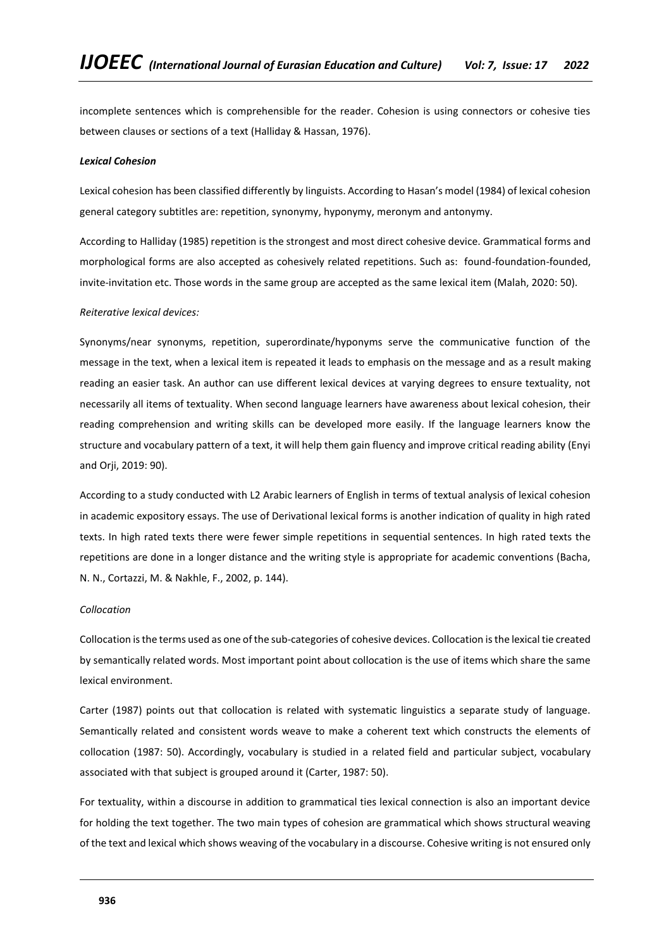incomplete sentences which is comprehensible for the reader. Cohesion is using connectors or cohesive ties between clauses or sections of a text (Halliday & Hassan, 1976).

#### *Lexical Cohesion*

Lexical cohesion has been classified differently by linguists. According to Hasan's model (1984) of lexical cohesion general category subtitles are: repetition, synonymy, hyponymy, meronym and antonymy.

According to Halliday (1985) repetition is the strongest and most direct cohesive device. Grammatical forms and morphological forms are also accepted as cohesively related repetitions. Such as: found-foundation-founded, invite-invitation etc. Those words in the same group are accepted as the same lexical item (Malah, 2020: 50).

#### *Reiterative lexical devices:*

Synonyms/near synonyms, repetition, superordinate/hyponyms serve the communicative function of the message in the text, when a lexical item is repeated it leads to emphasis on the message and as a result making reading an easier task. An author can use different lexical devices at varying degrees to ensure textuality, not necessarily all items of textuality. When second language learners have awareness about lexical cohesion, their reading comprehension and writing skills can be developed more easily. If the language learners know the structure and vocabulary pattern of a text, it will help them gain fluency and improve critical reading ability (Enyi and Orii, 2019: 90).

According to a study conducted with L2 Arabic learners of English in terms of textual analysis of lexical cohesion in academic expository essays. The use of Derivational lexical forms is another indication of quality in high rated texts. In high rated texts there were fewer simple repetitions in sequential sentences. In high rated texts the repetitions are done in a longer distance and the writing style is appropriate for academic conventions (Bacha, N. N., Cortazzi, M. & Nakhle, F., 2002, p. 144).

#### *Collocation*

Collocation is the terms used as one of the sub-categories of cohesive devices. Collocation is the lexical tie created by semantically related words. Most important point about collocation is the use of items which share the same lexical environment.

Carter (1987) points out that collocation is related with systematic linguistics a separate study of language. Semantically related and consistent words weave to make a coherent text which constructs the elements of collocation (1987: 50). Accordingly, vocabulary is studied in a related field and particular subject, vocabulary associated with that subject is grouped around it (Carter, 1987: 50).

For textuality, within a discourse in addition to grammatical ties lexical connection is also an important device for holding the text together. The two main types of cohesion are grammatical which shows structural weaving of the text and lexical which shows weaving of the vocabulary in a discourse. Cohesive writing is not ensured only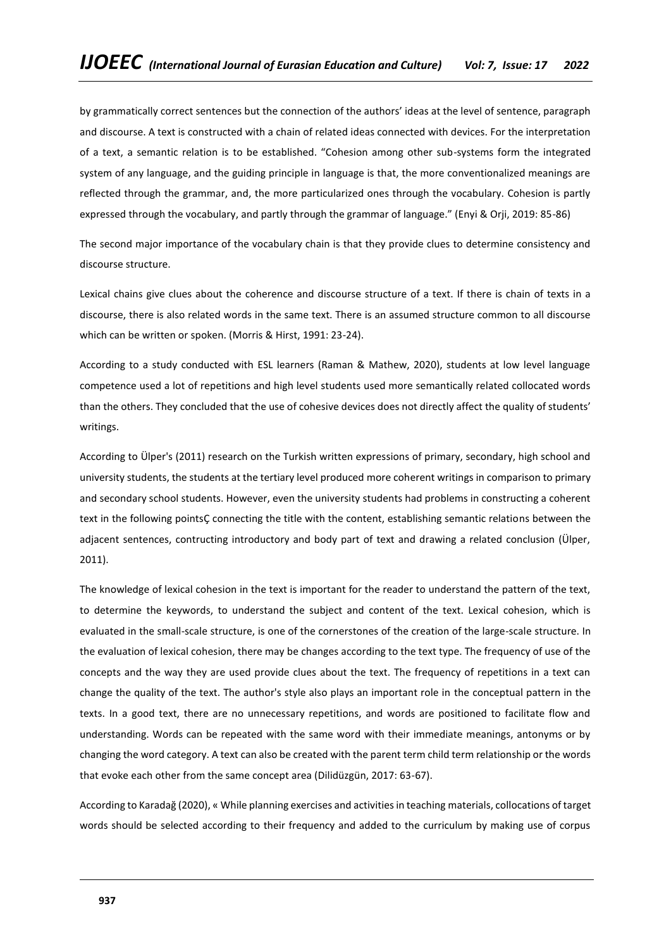by grammatically correct sentences but the connection of the authors' ideas at the level of sentence, paragraph and discourse. A text is constructed with a chain of related ideas connected with devices. For the interpretation of a text, a semantic relation is to be established. "Cohesion among other sub-systems form the integrated system of any language, and the guiding principle in language is that, the more conventionalized meanings are reflected through the grammar, and, the more particularized ones through the vocabulary. Cohesion is partly expressed through the vocabulary, and partly through the grammar of language." (Enyi & Orji, 2019: 85-86)

The second major importance of the vocabulary chain is that they provide clues to determine consistency and discourse structure.

Lexical chains give clues about the coherence and discourse structure of a text. If there is chain of texts in a discourse, there is also related words in the same text. There is an assumed structure common to all discourse which can be written or spoken. (Morris & Hirst, 1991: 23-24).

According to a study conducted with ESL learners (Raman & Mathew, 2020), students at low level language competence used a lot of repetitions and high level students used more semantically related collocated words than the others. They concluded that the use of cohesive devices does not directly affect the quality of students' writings.

According to Ülper's (2011) research on the Turkish written expressions of primary, secondary, high school and university students, the students at the tertiary level produced more coherent writings in comparison to primary and secondary school students. However, even the university students had problems in constructing a coherent text in the following pointsÇ connecting the title with the content, establishing semantic relations between the adjacent sentences, contructing introductory and body part of text and drawing a related conclusion (Ülper, 2011).

The knowledge of lexical cohesion in the text is important for the reader to understand the pattern of the text, to determine the keywords, to understand the subject and content of the text. Lexical cohesion, which is evaluated in the small-scale structure, is one of the cornerstones of the creation of the large-scale structure. In the evaluation of lexical cohesion, there may be changes according to the text type. The frequency of use of the concepts and the way they are used provide clues about the text. The frequency of repetitions in a text can change the quality of the text. The author's style also plays an important role in the conceptual pattern in the texts. In a good text, there are no unnecessary repetitions, and words are positioned to facilitate flow and understanding. Words can be repeated with the same word with their immediate meanings, antonyms or by changing the word category. A text can also be created with the parent term child term relationship or the words that evoke each other from the same concept area (Dilidüzgün, 2017: 63-67).

According to Karadağ (2020), « While planning exercises and activities in teaching materials, collocations of target words should be selected according to their frequency and added to the curriculum by making use of corpus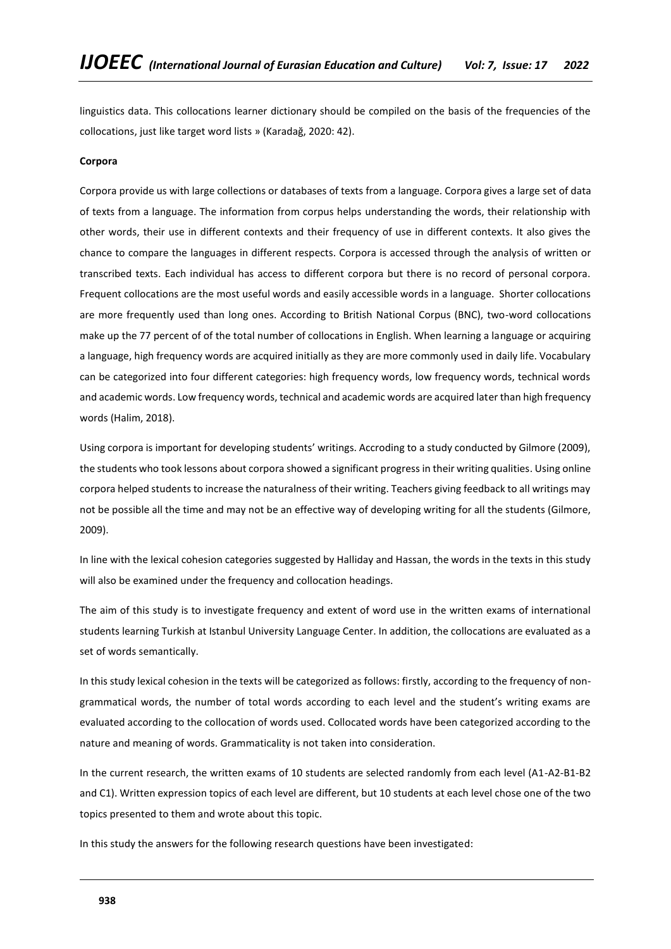linguistics data. This collocations learner dictionary should be compiled on the basis of the frequencies of the collocations, just like target word lists » (Karadağ, 2020: 42).

#### **Corpora**

Corpora provide us with large collections or databases of texts from a language. Corpora gives a large set of data of texts from a language. The information from corpus helps understanding the words, their relationship with other words, their use in different contexts and their frequency of use in different contexts. It also gives the chance to compare the languages in different respects. Corpora is accessed through the analysis of written or transcribed texts. Each individual has access to different corpora but there is no record of personal corpora. Frequent collocations are the most useful words and easily accessible words in a language. Shorter collocations are more frequently used than long ones. According to British National Corpus (BNC), two-word collocations make up the 77 percent of of the total number of collocations in English. When learning a language or acquiring a language, high frequency words are acquired initially as they are more commonly used in daily life. Vocabulary can be categorized into four different categories: high frequency words, low frequency words, technical words and academic words. Low frequency words, technical and academic words are acquired later than high frequency words (Halim, 2018).

Using corpora is important for developing students' writings. Accroding to a study conducted by Gilmore (2009), the students who took lessons about corpora showed a significant progress in their writing qualities. Using online corpora helped students to increase the naturalness of their writing. Teachers giving feedback to all writings may not be possible all the time and may not be an effective way of developing writing for all the students (Gilmore, 2009).

In line with the lexical cohesion categories suggested by Halliday and Hassan, the words in the texts in this study will also be examined under the frequency and collocation headings.

The aim of this study is to investigate frequency and extent of word use in the written exams of international students learning Turkish at Istanbul University Language Center. In addition, the collocations are evaluated as a set of words semantically.

In this study lexical cohesion in the texts will be categorized as follows: firstly, according to the frequency of nongrammatical words, the number of total words according to each level and the student's writing exams are evaluated according to the collocation of words used. Collocated words have been categorized according to the nature and meaning of words. Grammaticality is not taken into consideration.

In the current research, the written exams of 10 students are selected randomly from each level (A1-A2-B1-B2 and C1). Written expression topics of each level are different, but 10 students at each level chose one of the two topics presented to them and wrote about this topic.

In this study the answers for the following research questions have been investigated: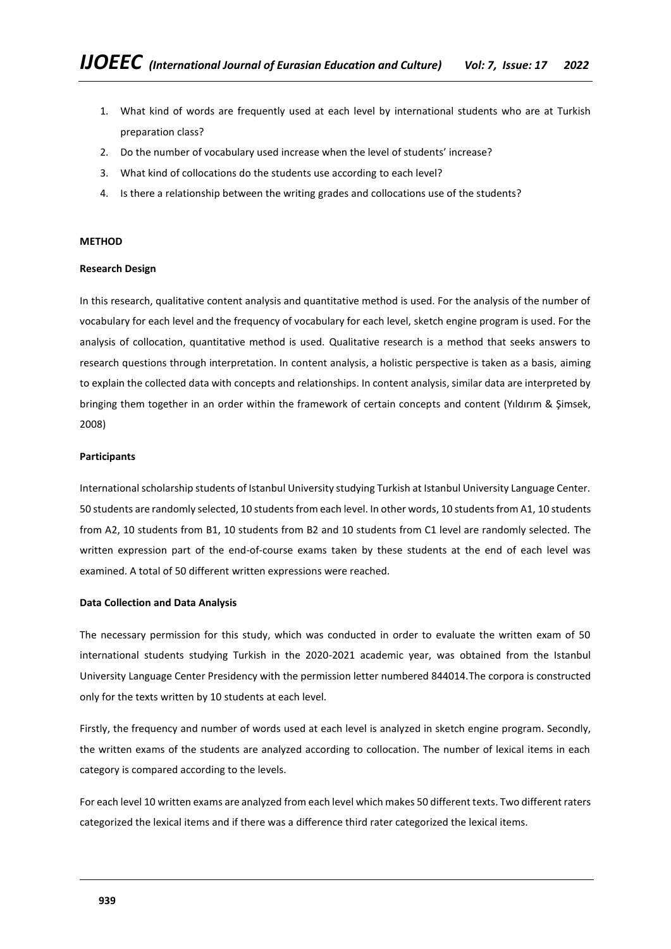- 1. What kind of words are frequently used at each level by international students who are at Turkish preparation class?
- 2. Do the number of vocabulary used increase when the level of students' increase?
- 3. What kind of collocations do the students use according to each level?
- 4. Is there a relationship between the writing grades and collocations use of the students?

### **METHOD**

### **Research Design**

In this research, qualitative content analysis and quantitative method is used. For the analysis of the number of vocabulary for each level and the frequency of vocabulary for each level, sketch engine program is used. For the analysis of collocation, quantitative method is used. Qualitative research is a method that seeks answers to research questions through interpretation. In content analysis, a holistic perspective is taken as a basis, aiming to explain the collected data with concepts and relationships. In content analysis, similar data are interpreted by bringing them together in an order within the framework of certain concepts and content (Yıldırım & Şimsek, 2008)

## **Participants**

International scholarship students of Istanbul University studying Turkish at Istanbul University Language Center. 50 students are randomly selected, 10 students from each level. In other words, 10 students from A1, 10 students from A2, 10 students from B1, 10 students from B2 and 10 students from C1 level are randomly selected. The written expression part of the end-of-course exams taken by these students at the end of each level was examined. A total of 50 different written expressions were reached.

#### **Data Collection and Data Analysis**

The necessary permission for this study, which was conducted in order to evaluate the written exam of 50 international students studying Turkish in the 2020-2021 academic year, was obtained from the Istanbul University Language Center Presidency with the permission letter numbered 844014.The corpora is constructed only for the texts written by 10 students at each level.

Firstly, the frequency and number of words used at each level is analyzed in sketch engine program. Secondly, the written exams of the students are analyzed according to collocation. The number of lexical items in each category is compared according to the levels.

For each level 10 written exams are analyzed from each level which makes 50 different texts. Two different raters categorized the lexical items and if there was a difference third rater categorized the lexical items.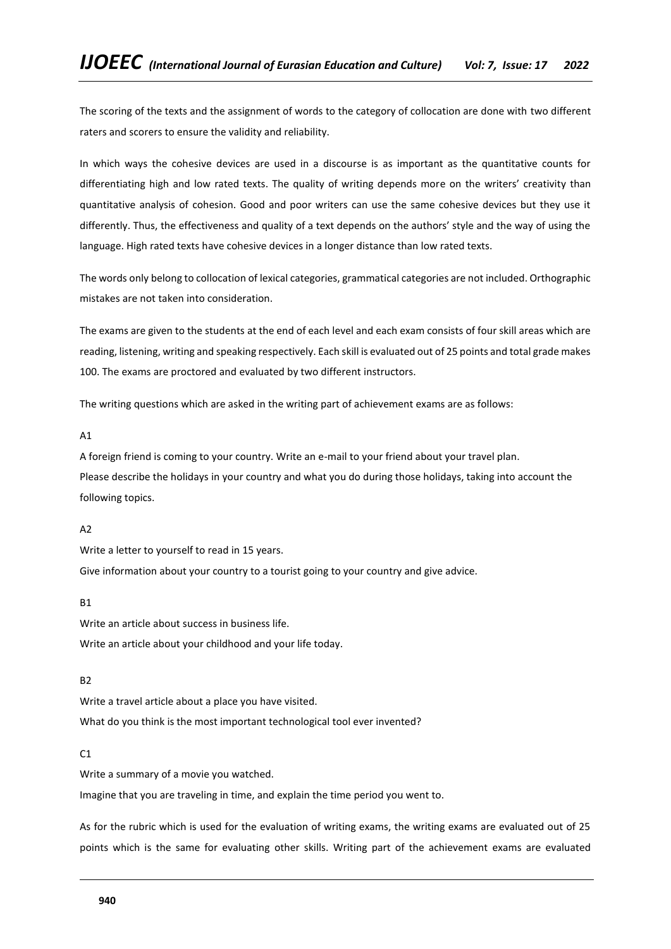The scoring of the texts and the assignment of words to the category of collocation are done with two different raters and scorers to ensure the validity and reliability.

In which ways the cohesive devices are used in a discourse is as important as the quantitative counts for differentiating high and low rated texts. The quality of writing depends more on the writers' creativity than quantitative analysis of cohesion. Good and poor writers can use the same cohesive devices but they use it differently. Thus, the effectiveness and quality of a text depends on the authors' style and the way of using the language. High rated texts have cohesive devices in a longer distance than low rated texts.

The words only belong to collocation of lexical categories, grammatical categories are not included. Orthographic mistakes are not taken into consideration.

The exams are given to the students at the end of each level and each exam consists of four skill areas which are reading, listening, writing and speaking respectively. Each skill is evaluated out of 25 points and total grade makes 100. The exams are proctored and evaluated by two different instructors.

The writing questions which are asked in the writing part of achievement exams are as follows:

A1

A foreign friend is coming to your country. Write an e-mail to your friend about your travel plan. Please describe the holidays in your country and what you do during those holidays, taking into account the following topics.

## A2

Write a letter to yourself to read in 15 years.

Give information about your country to a tourist going to your country and give advice.

**R1** 

Write an article about success in business life. Write an article about your childhood and your life today.

B2

Write a travel article about a place you have visited. What do you think is the most important technological tool ever invented?

## $C<sub>1</sub>$

Write a summary of a movie you watched.

Imagine that you are traveling in time, and explain the time period you went to.

As for the rubric which is used for the evaluation of writing exams, the writing exams are evaluated out of 25 points which is the same for evaluating other skills. Writing part of the achievement exams are evaluated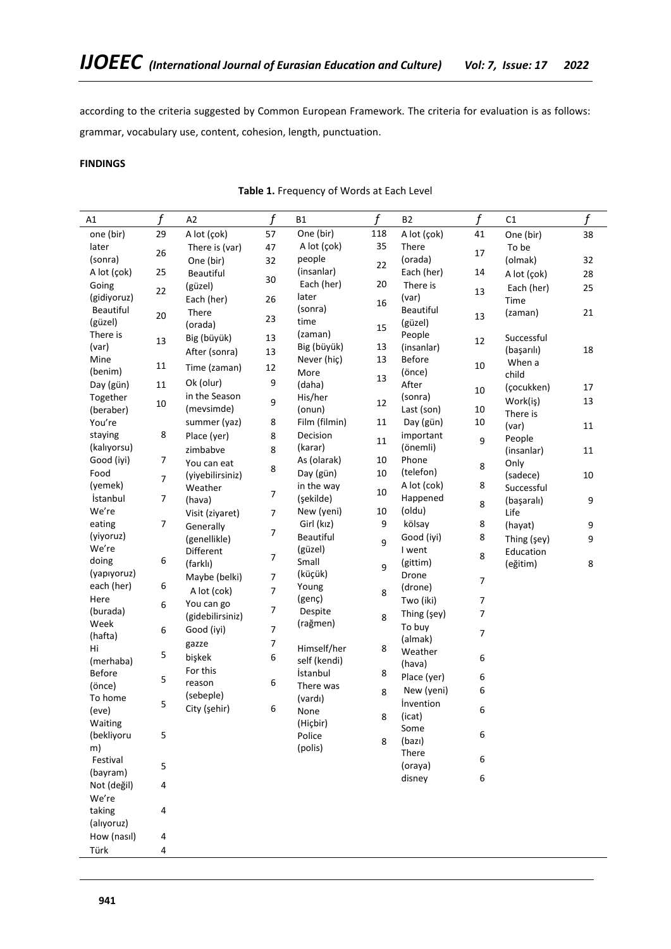according to the criteria suggested by Common European Framework. The criteria for evaluation is as follows: grammar, vocabulary use, content, cohesion, length, punctuation.

# **FINDINGS**

# **Table 1.** Frequency of Words at Each Level

| A1          | f      | A2               | $\mathbf f$      | Β1            | f   | <b>B2</b>        | f              | C1          | f      |
|-------------|--------|------------------|------------------|---------------|-----|------------------|----------------|-------------|--------|
| one (bir)   | 29     | A lot (çok)      | 57               | One (bir)     | 118 | A lot (çok)      | 41             | One (bir)   | 38     |
| later       | 26     | There is (var)   | 47               | A lot (çok)   | 35  | There            | 17             | To be       |        |
| (sonra)     |        | One (bir)        | 32               | people        | 22  | (orada)          |                | (olmak)     | 32     |
| A lot (çok) | 25     | <b>Beautiful</b> |                  | (insanlar)    |     | Each (her)       | 14             | A lot (çok) | 28     |
| Going       |        | (güzel)          | 30               | Each (her)    | 20  | There is         |                | Each (her)  | 25     |
| (gidiyoruz) | 22     | Each (her)       | 26               | later         | 16  | (var)            | 13             | Time        |        |
| Beautiful   |        | There            |                  | (sonra)       |     | Beautiful        |                | (zaman)     | 21     |
| (güzel)     | $20\,$ | (orada)          | 23               | time          | 15  | (güzel)          | 13             |             |        |
| There is    | 13     | Big (büyük)      | 13               | (zaman)       |     | People           | 12             | Successful  |        |
| (var)       |        | After (sonra)    | 13               | Big (büyük)   | 13  | (insanlar)       |                | (başarılı)  | 18     |
| Mine        | 11     |                  |                  | Never (hiç)   | 13  | <b>Before</b>    | 10             | When a      |        |
| (benim)     |        | Time (zaman)     | 12               | More          | 13  | (önce)           |                | child       |        |
| Day (gün)   | 11     | Ok (olur)        | 9                | (daha)        |     | After            | 10             | (çocukken)  | 17     |
| Together    |        | in the Season    | 9                | His/her       | 12  | (sonra)          |                | Work(iş)    | 13     |
| (beraber)   | $10\,$ | (mevsimde)       |                  | (onun)        |     | Last (son)       | 10             | There is    |        |
| You're      |        | summer (yaz)     | 8                | Film (filmin) | 11  | Day (gün)        | 10             | (var)       | $11\,$ |
| staying     | 8      | Place (yer)      | 8                | Decision      | 11  | important        | 9              | People      |        |
| (kalıyorsu) |        | zimbabve         | 8                | (karar)       |     | (önemli)         |                | (insanlar)  | 11     |
| Good (iyi)  | 7      | You can eat      |                  | As (olarak)   | 10  | Phone            | 8              | Only        |        |
| Food        | 7      | (yiyebilirsiniz) | 8                | Day (gün)     | 10  | (telefon)        |                | (sadece)    | 10     |
| (yemek)     |        | Weather          |                  | in the way    |     | A lot (cok)      | 8              | Successful  |        |
| İstanbul    | 7      | (hava)           | $\overline{7}$   | (şekilde)     | 10  | Happened         |                | (başaralı)  | 9      |
| We're       |        | Visit (ziyaret)  | $\overline{7}$   | New (yeni)    | 10  | (oldu)           | 8              | Life        |        |
| eating      | 7      | Generally        |                  | Girl (kız)    | 9   | kölsay           | 8              | (hayat)     | 9      |
| (yiyoruz)   |        | (genellikle)     | 7                | Beautiful     |     | Good (iyi)       | 8              | Thing (şey) | 9      |
| We're       |        | Different        |                  | (güzel)       | 9   | I went           |                | Education   |        |
| doing       | 6      | (farklı)         | $\boldsymbol{7}$ | Small         |     | (gittim)         | 8              | (eğitim)    | 8      |
| (yapıyoruz) |        | Maybe (belki)    | $\overline{7}$   | (küçük)       | 9   | Drone            |                |             |        |
| each (her)  | 6      | A lot (cok)      | $\overline{7}$   | Young         | 8   | (drone)          | 7              |             |        |
| Here        | 6      | You can go       |                  | (genç)        |     | Two (iki)        | 7              |             |        |
| (burada)    |        | (gidebilirsiniz) | $\overline{7}$   | Despite       | 8   | Thing (şey)      | $\overline{7}$ |             |        |
| Week        | 6      | Good (iyi)       | $\overline{7}$   | (rağmen)      |     | To buy           |                |             |        |
| (hafta)     |        |                  |                  |               |     | (almak)          | 7              |             |        |
| Hi          | 5      | gazze            | 7                | Himself/her   | 8   | Weather          |                |             |        |
| (merhaba)   |        | bişkek           | 6                | self (kendi)  |     | (hava)           | 6              |             |        |
| Before      | 5      | For this         |                  | İstanbul      | 8   | Place (yer)      | 6              |             |        |
| (önce)      |        | reason           | 6                | There was     | 8   | New (yeni)       | 6              |             |        |
| To home     | 5      | (sebeple)        |                  | (vardı)       |     | <i>invention</i> |                |             |        |
| (eve)       |        | City (şehir)     | 6                | None          | 8   | (icat)           | 6              |             |        |
| Waiting     |        |                  |                  | (Hiçbir)      |     | Some             |                |             |        |
| (bekliyoru  | 5      |                  |                  | Police        | 8   | (bazı)           | 6              |             |        |
| m)          |        |                  |                  | (polis)       |     | There            |                |             |        |
| Festival    | 5      |                  |                  |               |     | (oraya)          | 6              |             |        |
| (bayram)    |        |                  |                  |               |     | disney           | 6              |             |        |
| Not (değil) | 4      |                  |                  |               |     |                  |                |             |        |
| We're       |        |                  |                  |               |     |                  |                |             |        |
| taking      | 4      |                  |                  |               |     |                  |                |             |        |
| (alıyoruz)  |        |                  |                  |               |     |                  |                |             |        |
| How (nasıl) | 4      |                  |                  |               |     |                  |                |             |        |
| Türk        | 4      |                  |                  |               |     |                  |                |             |        |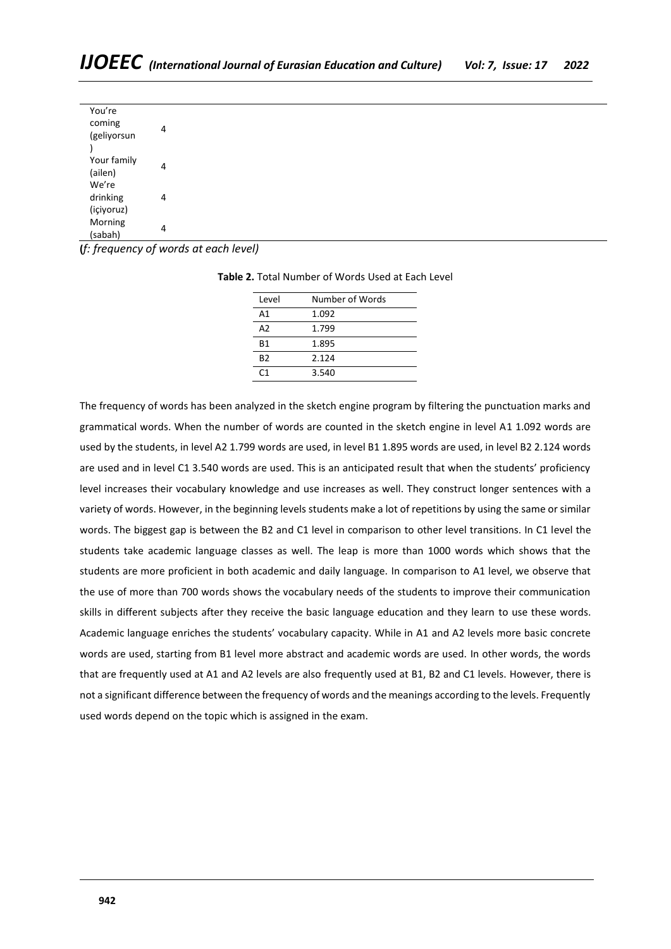| You're      |   |
|-------------|---|
| coming      |   |
| (geliyorsun |   |
|             |   |
| Your family |   |
| (ailen)     | Δ |
| We're       |   |
| drinking    |   |
| (içiyoruz)  |   |
| Morning     |   |
| (sabah)     |   |

**(***f: frequency of words at each level)*

| Level          | Number of Words |
|----------------|-----------------|
| A <sub>1</sub> | 1.092           |
| A <sub>2</sub> | 1.799           |
| B1             | 1.895           |
| B <sub>2</sub> | 2.124           |
|                | 3.540           |

**Table 2.** Total Number of Words Used at Each Level

The frequency of words has been analyzed in the sketch engine program by filtering the punctuation marks and grammatical words. When the number of words are counted in the sketch engine in level A1 1.092 words are used by the students, in level A2 1.799 words are used, in level B1 1.895 words are used, in level B2 2.124 words are used and in level C1 3.540 words are used. This is an anticipated result that when the students' proficiency level increases their vocabulary knowledge and use increases as well. They construct longer sentences with a variety of words. However, in the beginning levels students make a lot of repetitions by using the same or similar words. The biggest gap is between the B2 and C1 level in comparison to other level transitions. In C1 level the students take academic language classes as well. The leap is more than 1000 words which shows that the students are more proficient in both academic and daily language. In comparison to A1 level, we observe that the use of more than 700 words shows the vocabulary needs of the students to improve their communication skills in different subjects after they receive the basic language education and they learn to use these words. Academic language enriches the students' vocabulary capacity. While in A1 and A2 levels more basic concrete words are used, starting from B1 level more abstract and academic words are used. In other words, the words that are frequently used at A1 and A2 levels are also frequently used at B1, B2 and C1 levels. However, there is not a significant difference between the frequency of words and the meanings according to the levels. Frequently used words depend on the topic which is assigned in the exam.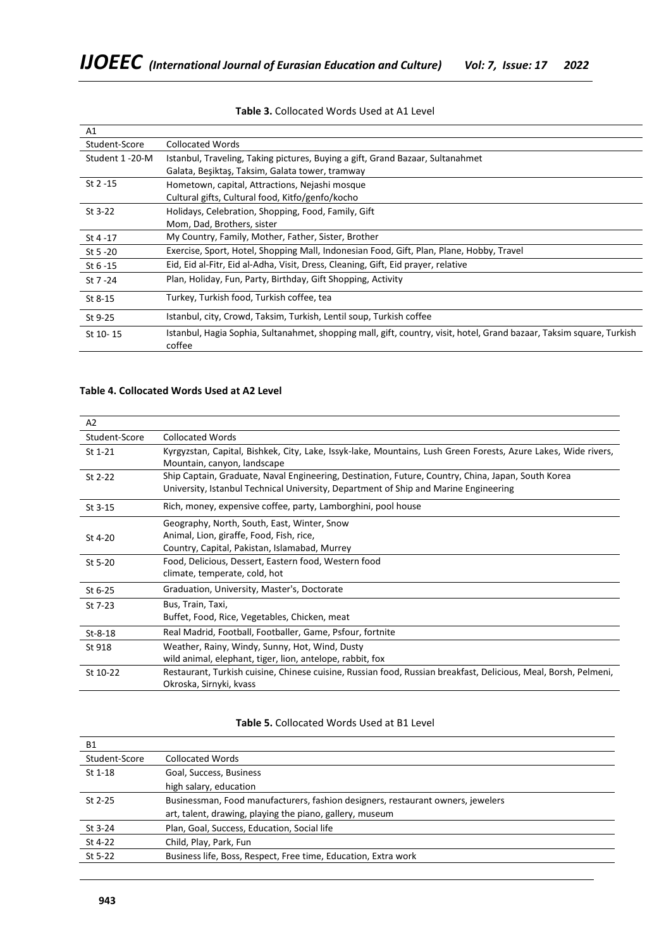| A1             |                                                                                                                                 |
|----------------|---------------------------------------------------------------------------------------------------------------------------------|
| Student-Score  | <b>Collocated Words</b>                                                                                                         |
| Student 1-20-M | Istanbul, Traveling, Taking pictures, Buying a gift, Grand Bazaar, Sultanahmet                                                  |
|                | Galata, Beşiktaş, Taksim, Galata tower, tramway                                                                                 |
| $St 2 - 15$    | Hometown, capital, Attractions, Nejashi mosque                                                                                  |
|                | Cultural gifts, Cultural food, Kitfo/genfo/kocho                                                                                |
| St 3-22        | Holidays, Celebration, Shopping, Food, Family, Gift                                                                             |
|                | Mom, Dad, Brothers, sister                                                                                                      |
| St $4 - 17$    | My Country, Family, Mother, Father, Sister, Brother                                                                             |
| St 5 - 20      | Exercise, Sport, Hotel, Shopping Mall, Indonesian Food, Gift, Plan, Plane, Hobby, Travel                                        |
| St $6 - 15$    | Eid, Eid al-Fitr, Eid al-Adha, Visit, Dress, Cleaning, Gift, Eid prayer, relative                                               |
| St 7 - 24      | Plan, Holiday, Fun, Party, Birthday, Gift Shopping, Activity                                                                    |
| St 8-15        | Turkey, Turkish food, Turkish coffee, tea                                                                                       |
| St 9-25        | Istanbul, city, Crowd, Taksim, Turkish, Lentil soup, Turkish coffee                                                             |
| St 10-15       | Istanbul, Hagia Sophia, Sultanahmet, shopping mall, gift, country, visit, hotel, Grand bazaar, Taksim square, Turkish<br>coffee |

# **Table 3.** Collocated Words Used at A1 Level

# **Table 4. Collocated Words Used at A2 Level**

| A2            |                                                                                                                                                                                            |
|---------------|--------------------------------------------------------------------------------------------------------------------------------------------------------------------------------------------|
| Student-Score | <b>Collocated Words</b>                                                                                                                                                                    |
| St 1-21       | Kyrgyzstan, Capital, Bishkek, City, Lake, Issyk-lake, Mountains, Lush Green Forests, Azure Lakes, Wide rivers,<br>Mountain, canyon, landscape                                              |
| St 2-22       | Ship Captain, Graduate, Naval Engineering, Destination, Future, Country, China, Japan, South Korea<br>University, Istanbul Technical University, Department of Ship and Marine Engineering |
| St 3-15       | Rich, money, expensive coffee, party, Lamborghini, pool house                                                                                                                              |
| St 4-20       | Geography, North, South, East, Winter, Snow<br>Animal, Lion, giraffe, Food, Fish, rice,<br>Country, Capital, Pakistan, Islamabad, Murrey                                                   |
| St 5-20       | Food, Delicious, Dessert, Eastern food, Western food<br>climate, temperate, cold, hot                                                                                                      |
| St 6-25       | Graduation, University, Master's, Doctorate                                                                                                                                                |
| St 7-23       | Bus, Train, Taxi,<br>Buffet, Food, Rice, Vegetables, Chicken, meat                                                                                                                         |
| $St-8-18$     | Real Madrid, Football, Footballer, Game, Psfour, fortnite                                                                                                                                  |
| St 918        | Weather, Rainy, Windy, Sunny, Hot, Wind, Dusty<br>wild animal, elephant, tiger, lion, antelope, rabbit, fox                                                                                |
| St 10-22      | Restaurant, Turkish cuisine, Chinese cuisine, Russian food, Russian breakfast, Delicious, Meal, Borsh, Pelmeni,<br>Okroska, Sirnyki, kvass                                                 |

# **Table 5.** Collocated Words Used at B1 Level

| <b>B1</b>     |                                                                                 |
|---------------|---------------------------------------------------------------------------------|
| Student-Score | <b>Collocated Words</b>                                                         |
| $St$ 1-18     | Goal, Success, Business                                                         |
|               | high salary, education                                                          |
| $St$ 2-25     | Businessman, Food manufacturers, fashion designers, restaurant owners, jewelers |
|               | art, talent, drawing, playing the piano, gallery, museum                        |
| St 3-24       | Plan, Goal, Success, Education, Social life                                     |
| St 4-22       | Child, Play, Park, Fun                                                          |
| St 5-22       | Business life, Boss, Respect, Free time, Education, Extra work                  |
|               |                                                                                 |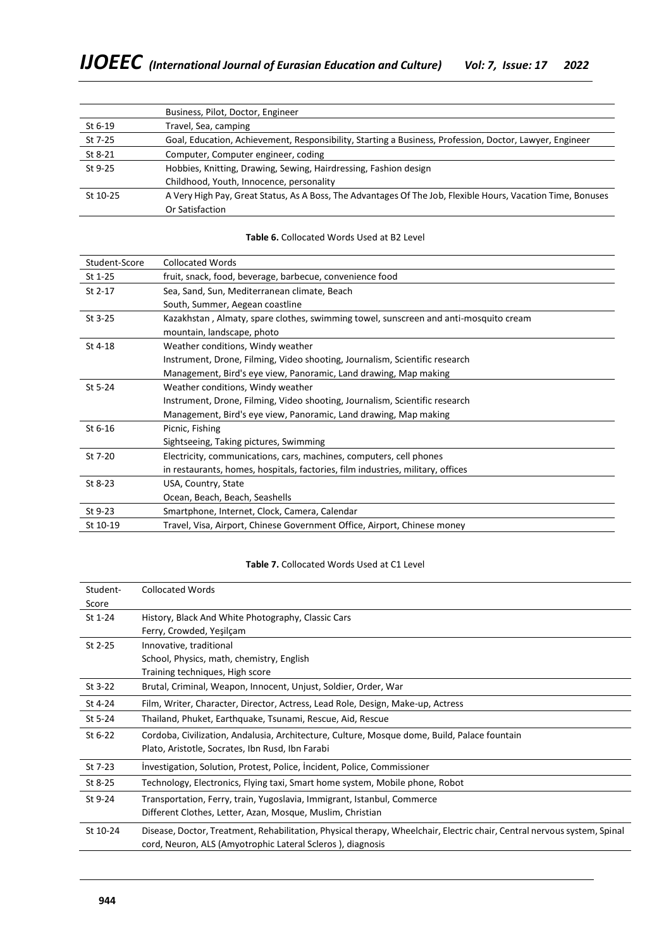|          | Business, Pilot, Doctor, Engineer                                                                           |  |  |  |  |  |
|----------|-------------------------------------------------------------------------------------------------------------|--|--|--|--|--|
| St 6-19  | Travel, Sea, camping                                                                                        |  |  |  |  |  |
| St 7-25  | Goal, Education, Achievement, Responsibility, Starting a Business, Profession, Doctor, Lawyer, Engineer     |  |  |  |  |  |
| St 8-21  | Computer, Computer engineer, coding                                                                         |  |  |  |  |  |
| St 9-25  | Hobbies, Knitting, Drawing, Sewing, Hairdressing, Fashion design                                            |  |  |  |  |  |
|          | Childhood, Youth, Innocence, personality                                                                    |  |  |  |  |  |
| St 10-25 | A Very High Pay, Great Status, As A Boss, The Advantages Of The Job, Flexible Hours, Vacation Time, Bonuses |  |  |  |  |  |
|          | Or Satisfaction                                                                                             |  |  |  |  |  |

| Student-Score | <b>Collocated Words</b>                                                              |
|---------------|--------------------------------------------------------------------------------------|
| St 1-25       | fruit, snack, food, beverage, barbecue, convenience food                             |
| St 2-17       | Sea, Sand, Sun, Mediterranean climate, Beach                                         |
|               | South, Summer, Aegean coastline                                                      |
| St 3-25       | Kazakhstan, Almaty, spare clothes, swimming towel, sunscreen and anti-mosquito cream |
|               | mountain, landscape, photo                                                           |
| St 4-18       | Weather conditions, Windy weather                                                    |
|               | Instrument, Drone, Filming, Video shooting, Journalism, Scientific research          |
|               | Management, Bird's eye view, Panoramic, Land drawing, Map making                     |
| St 5-24       | Weather conditions, Windy weather                                                    |
|               | Instrument, Drone, Filming, Video shooting, Journalism, Scientific research          |
|               | Management, Bird's eye view, Panoramic, Land drawing, Map making                     |
| St 6-16       | Picnic, Fishing                                                                      |
|               | Sightseeing, Taking pictures, Swimming                                               |
| St 7-20       | Electricity, communications, cars, machines, computers, cell phones                  |
|               | in restaurants, homes, hospitals, factories, film industries, military, offices      |
| St 8-23       | USA, Country, State                                                                  |
|               | Ocean, Beach, Beach, Seashells                                                       |
| St 9-23       | Smartphone, Internet, Clock, Camera, Calendar                                        |
| St 10-19      | Travel, Visa, Airport, Chinese Government Office, Airport, Chinese money             |

#### **Table 6.** Collocated Words Used at B2 Level

# **Table 7.** Collocated Words Used at C1 Level

| Student- | <b>Collocated Words</b>                                                                                                                                                                |
|----------|----------------------------------------------------------------------------------------------------------------------------------------------------------------------------------------|
| Score    |                                                                                                                                                                                        |
| St 1-24  | History, Black And White Photography, Classic Cars                                                                                                                                     |
|          | Ferry, Crowded, Yeşilçam                                                                                                                                                               |
| St 2-25  | Innovative, traditional                                                                                                                                                                |
|          | School, Physics, math, chemistry, English                                                                                                                                              |
|          | Training techniques, High score                                                                                                                                                        |
| St 3-22  | Brutal, Criminal, Weapon, Innocent, Unjust, Soldier, Order, War                                                                                                                        |
| St 4-24  | Film, Writer, Character, Director, Actress, Lead Role, Design, Make-up, Actress                                                                                                        |
| St 5-24  | Thailand, Phuket, Earthquake, Tsunami, Rescue, Aid, Rescue                                                                                                                             |
| St 6-22  | Cordoba, Civilization, Andalusia, Architecture, Culture, Mosque dome, Build, Palace fountain                                                                                           |
|          | Plato, Aristotle, Socrates, Ibn Rusd, Ibn Farabi                                                                                                                                       |
| St 7-23  | Investigation, Solution, Protest, Police, Incident, Police, Commissioner                                                                                                               |
| St 8-25  | Technology, Electronics, Flying taxi, Smart home system, Mobile phone, Robot                                                                                                           |
| St 9-24  | Transportation, Ferry, train, Yugoslavia, Immigrant, Istanbul, Commerce                                                                                                                |
|          | Different Clothes, Letter, Azan, Mosque, Muslim, Christian                                                                                                                             |
| St 10-24 | Disease, Doctor, Treatment, Rehabilitation, Physical therapy, Wheelchair, Electric chair, Central nervous system, Spinal<br>cord, Neuron, ALS (Amyotrophic Lateral Scleros), diagnosis |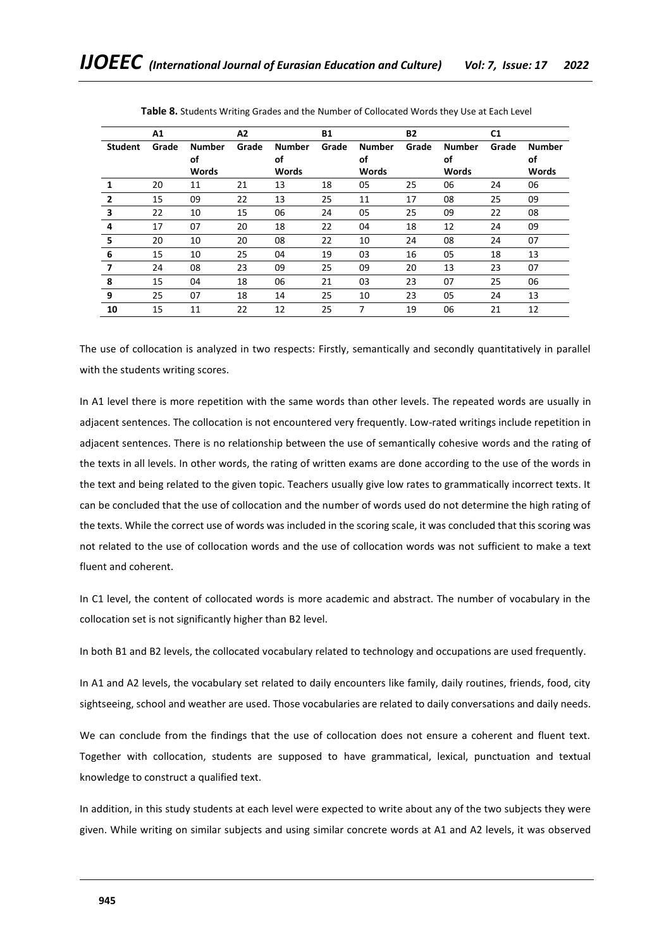|                         | A1    |                     | A2    |                     | <b>B1</b> |                     | <b>B2</b> |                     | C <sub>1</sub> |                     |
|-------------------------|-------|---------------------|-------|---------------------|-----------|---------------------|-----------|---------------------|----------------|---------------------|
| <b>Student</b>          | Grade | <b>Number</b><br>οf | Grade | <b>Number</b><br>οf | Grade     | <b>Number</b><br>οf | Grade     | <b>Number</b><br>οf | Grade          | <b>Number</b><br>οf |
|                         |       | <b>Words</b>        |       | Words               |           | <b>Words</b>        |           | <b>Words</b>        |                | <b>Words</b>        |
| 1                       | 20    | 11                  | 21    | 13                  | 18        | 05                  | 25        | 06                  | 24             | 06                  |
| $\overline{2}$          | 15    | 09                  | 22    | 13                  | 25        | 11                  | 17        | 08                  | 25             | 09                  |
| $\overline{\mathbf{3}}$ | 22    | 10                  | 15    | 06                  | 24        | 05                  | 25        | 09                  | 22             | 08                  |
| 4                       | 17    | 07                  | 20    | 18                  | 22        | 04                  | 18        | 12                  | 24             | 09                  |
| 5                       | 20    | 10                  | 20    | 08                  | 22        | 10                  | 24        | 08                  | 24             | 07                  |
| 6                       | 15    | 10                  | 25    | 04                  | 19        | 03                  | 16        | 05                  | 18             | 13                  |
| 7                       | 24    | 08                  | 23    | 09                  | 25        | 09                  | 20        | 13                  | 23             | 07                  |
| 8                       | 15    | 04                  | 18    | 06                  | 21        | 03                  | 23        | 07                  | 25             | 06                  |
| 9                       | 25    | 07                  | 18    | 14                  | 25        | 10                  | 23        | 05                  | 24             | 13                  |
| 10                      | 15    | 11                  | 22    | 12                  | 25        | 7                   | 19        | 06                  | 21             | 12                  |

**Table 8.** Students Writing Grades and the Number of Collocated Words they Use at Each Level

The use of collocation is analyzed in two respects: Firstly, semantically and secondly quantitatively in parallel with the students writing scores.

In A1 level there is more repetition with the same words than other levels. The repeated words are usually in adjacent sentences. The collocation is not encountered very frequently. Low-rated writings include repetition in adjacent sentences. There is no relationship between the use of semantically cohesive words and the rating of the texts in all levels. In other words, the rating of written exams are done according to the use of the words in the text and being related to the given topic. Teachers usually give low rates to grammatically incorrect texts. It can be concluded that the use of collocation and the number of words used do not determine the high rating of the texts. While the correct use of words was included in the scoring scale, it was concluded that this scoring was not related to the use of collocation words and the use of collocation words was not sufficient to make a text fluent and coherent.

In C1 level, the content of collocated words is more academic and abstract. The number of vocabulary in the collocation set is not significantly higher than B2 level.

In both B1 and B2 levels, the collocated vocabulary related to technology and occupations are used frequently.

In A1 and A2 levels, the vocabulary set related to daily encounters like family, daily routines, friends, food, city sightseeing, school and weather are used. Those vocabularies are related to daily conversations and daily needs.

We can conclude from the findings that the use of collocation does not ensure a coherent and fluent text. Together with collocation, students are supposed to have grammatical, lexical, punctuation and textual knowledge to construct a qualified text.

In addition, in this study students at each level were expected to write about any of the two subjects they were given. While writing on similar subjects and using similar concrete words at A1 and A2 levels, it was observed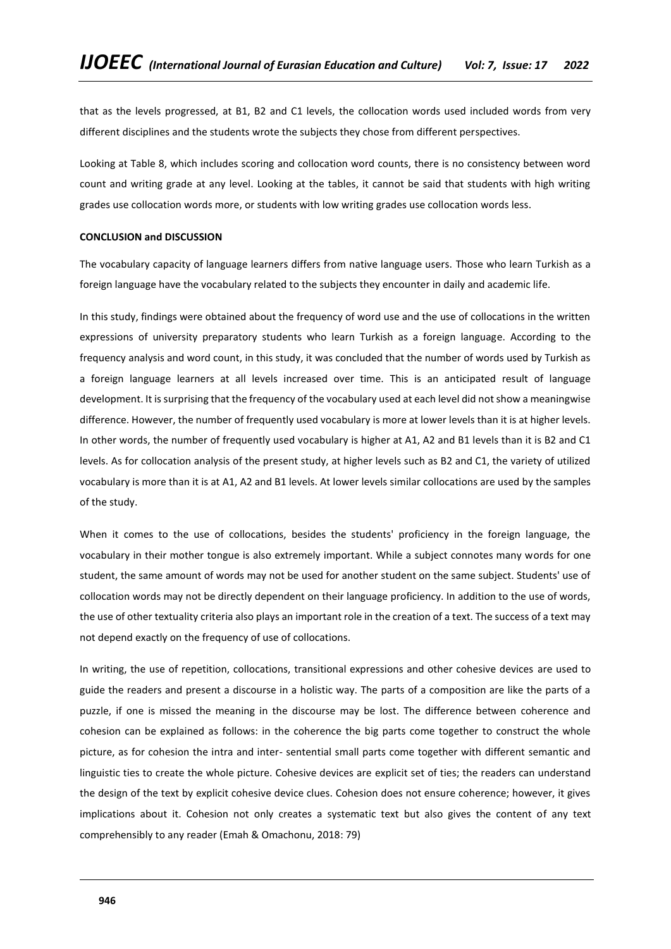that as the levels progressed, at B1, B2 and C1 levels, the collocation words used included words from very different disciplines and the students wrote the subjects they chose from different perspectives.

Looking at Table 8, which includes scoring and collocation word counts, there is no consistency between word count and writing grade at any level. Looking at the tables, it cannot be said that students with high writing grades use collocation words more, or students with low writing grades use collocation words less.

#### **CONCLUSION and DISCUSSION**

The vocabulary capacity of language learners differs from native language users. Those who learn Turkish as a foreign language have the vocabulary related to the subjects they encounter in daily and academic life.

In this study, findings were obtained about the frequency of word use and the use of collocations in the written expressions of university preparatory students who learn Turkish as a foreign language. According to the frequency analysis and word count, in this study, it was concluded that the number of words used by Turkish as a foreign language learners at all levels increased over time. This is an anticipated result of language development. It is surprising that the frequency of the vocabulary used at each level did not show a meaningwise difference. However, the number of frequently used vocabulary is more at lower levels than it is at higher levels. In other words, the number of frequently used vocabulary is higher at A1, A2 and B1 levels than it is B2 and C1 levels. As for collocation analysis of the present study, at higher levels such as B2 and C1, the variety of utilized vocabulary is more than it is at A1, A2 and B1 levels. At lower levels similar collocations are used by the samples of the study.

When it comes to the use of collocations, besides the students' proficiency in the foreign language, the vocabulary in their mother tongue is also extremely important. While a subject connotes many words for one student, the same amount of words may not be used for another student on the same subject. Students' use of collocation words may not be directly dependent on their language proficiency. In addition to the use of words, the use of other textuality criteria also plays an important role in the creation of a text. The success of a text may not depend exactly on the frequency of use of collocations.

In writing, the use of repetition, collocations, transitional expressions and other cohesive devices are used to guide the readers and present a discourse in a holistic way. The parts of a composition are like the parts of a puzzle, if one is missed the meaning in the discourse may be lost. The difference between coherence and cohesion can be explained as follows: in the coherence the big parts come together to construct the whole picture, as for cohesion the intra and inter- sentential small parts come together with different semantic and linguistic ties to create the whole picture. Cohesive devices are explicit set of ties; the readers can understand the design of the text by explicit cohesive device clues. Cohesion does not ensure coherence; however, it gives implications about it. Cohesion not only creates a systematic text but also gives the content of any text comprehensibly to any reader (Emah & Omachonu, 2018: 79)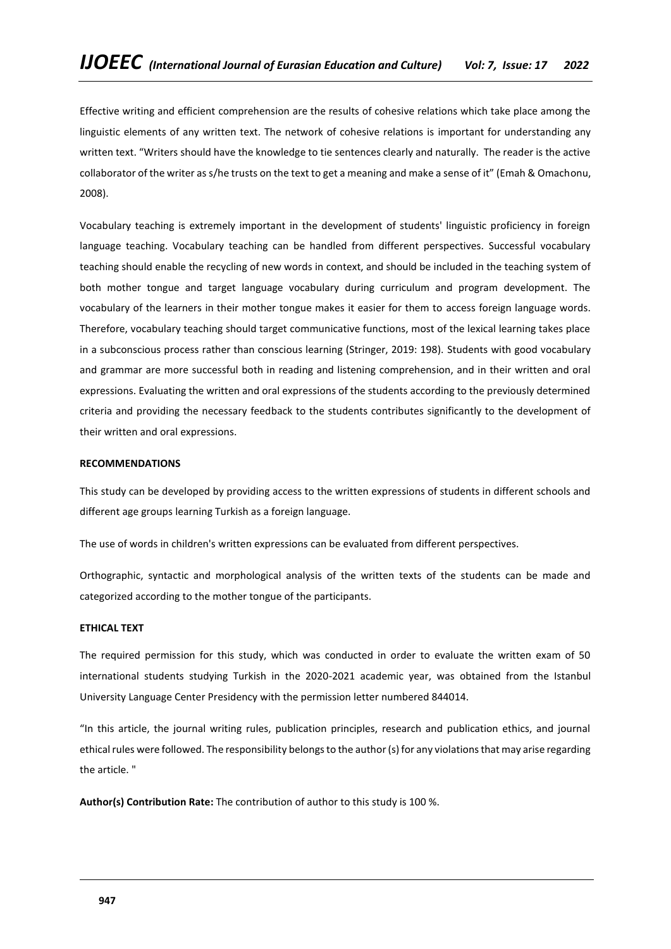Effective writing and efficient comprehension are the results of cohesive relations which take place among the linguistic elements of any written text. The network of cohesive relations is important for understanding any written text. "Writers should have the knowledge to tie sentences clearly and naturally. The reader is the active collaborator of the writer as s/he trusts on the text to get a meaning and make a sense of it" (Emah & Omachonu, 2008).

Vocabulary teaching is extremely important in the development of students' linguistic proficiency in foreign language teaching. Vocabulary teaching can be handled from different perspectives. Successful vocabulary teaching should enable the recycling of new words in context, and should be included in the teaching system of both mother tongue and target language vocabulary during curriculum and program development. The vocabulary of the learners in their mother tongue makes it easier for them to access foreign language words. Therefore, vocabulary teaching should target communicative functions, most of the lexical learning takes place in a subconscious process rather than conscious learning (Stringer, 2019: 198). Students with good vocabulary and grammar are more successful both in reading and listening comprehension, and in their written and oral expressions. Evaluating the written and oral expressions of the students according to the previously determined criteria and providing the necessary feedback to the students contributes significantly to the development of their written and oral expressions.

## **RECOMMENDATIONS**

This study can be developed by providing access to the written expressions of students in different schools and different age groups learning Turkish as a foreign language.

The use of words in children's written expressions can be evaluated from different perspectives.

Orthographic, syntactic and morphological analysis of the written texts of the students can be made and categorized according to the mother tongue of the participants.

#### **ETHICAL TEXT**

The required permission for this study, which was conducted in order to evaluate the written exam of 50 international students studying Turkish in the 2020-2021 academic year, was obtained from the Istanbul University Language Center Presidency with the permission letter numbered 844014.

"In this article, the journal writing rules, publication principles, research and publication ethics, and journal ethical rules were followed. The responsibility belongs to the author (s) for any violations that may arise regarding the article. "

**Author(s) Contribution Rate:** The contribution of author to this study is 100 %.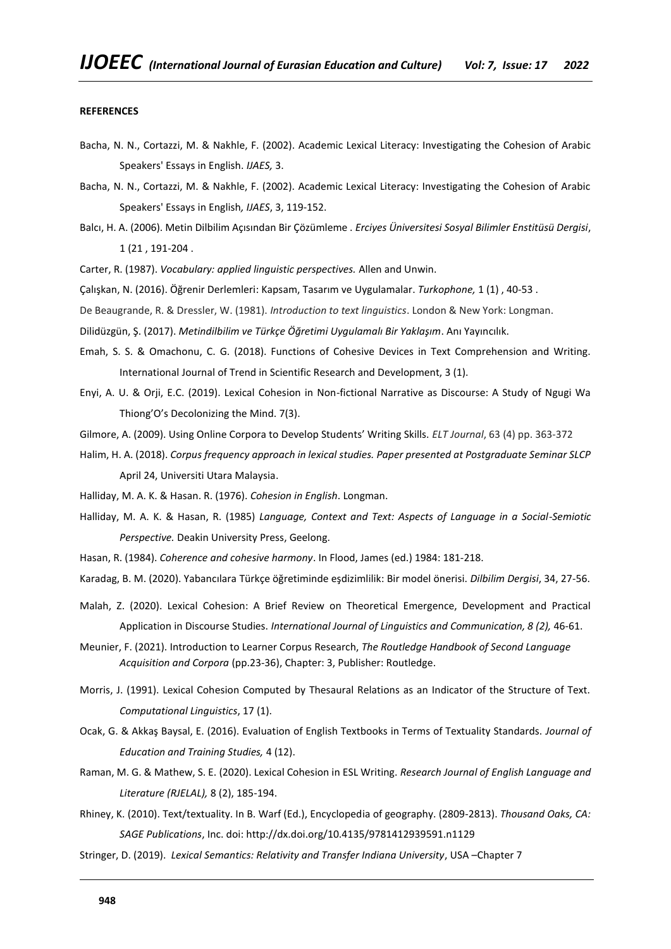#### **REFERENCES**

- Bacha, N. N., Cortazzi, M. & Nakhle, F. (2002). Academic Lexical Literacy: Investigating the Cohesion of Arabic Speakers' Essays in English. *IJAES,* 3.
- Bacha, N. N., Cortazzi, M. & Nakhle, F. (2002). Academic Lexical Literacy: Investigating the Cohesion of Arabic Speakers' Essays in English*, IJAES*, 3, 119-152.
- Balcı, H. A. (2006). Metin Dilbilim Açısından Bir Çözümleme . *Erciyes Üniversitesi Sosyal Bilimler Enstitüsü Dergisi*, 1 (21 , 191-204 .
- Carter, R. (1987). *Vocabulary: applied linguistic perspectives.* Allen and Unwin.
- Çalışkan, N. (2016). Öğrenir Derlemleri: Kapsam, Tasarım ve Uygulamalar. *Turkophone,* 1 (1) , 40-53 .

De Beaugrande, R. & Dressler, W. (1981). *Introduction to text linguistics*. London & New York: Longman.

- Dilidüzgün, Ş. (2017). *Metindilbilim ve Türkçe Öğretimi Uygulamalı Bir Yaklaşım*. Anı Yayıncılık.
- Emah, S. S. & Omachonu, C. G. (2018). Functions of Cohesive Devices in Text Comprehension and Writing. International Journal of Trend in Scientific Research and Development, 3 (1).
- Enyi, A. U. & Orji, E.C. (2019). Lexical Cohesion in Non-fictional Narrative as Discourse: A Study of Ngugi Wa Thiong'O's Decolonizing the Mind. 7(3).
- Gilmore, A. (2009). Using Online Corpora to Develop Students' Writing Skills. *ELT Journal*, 63 (4) pp. 363-372
- Halim, H. A. (2018). *Corpus frequency approach in lexical studies. Paper presented at Postgraduate Seminar SLCP* April 24, Universiti Utara Malaysia.
- Halliday, M. A. K. & Hasan. R. (1976). *Cohesion in English*. Longman.
- Halliday, M. A. K. & Hasan, R. (1985) *Language, Context and Text: Aspects of Language in a Social-Semiotic Perspective.* Deakin University Press, Geelong.
- Hasan, R. (1984). *Coherence and cohesive harmony*. In Flood, James (ed.) 1984: 181-218.
- Karadag, B. M. (2020). Yabancılara Türkçe öğretiminde eşdizimlilik: Bir model önerisi. *Dilbilim Dergisi*, 34, 27-56.
- Malah, Z. (2020). Lexical Cohesion: A Brief Review on Theoretical Emergence, Development and Practical Application in Discourse Studies. *International Journal of Linguistics and Communication, 8 (2),* 46-61.
- Meunier, F. (2021). Introduction to Learner Corpus Research, *The Routledge Handbook of Second Language Acquisition and Corpora* (pp.23-36), Chapter: 3, Publisher: Routledge.
- Morris, J. (1991). Lexical Cohesion Computed by Thesaural Relations as an Indicator of the Structure of Text. *Computational Linguistics*, 17 (1).
- Ocak, G. & Akkaş Baysal, E. (2016). Evaluation of English Textbooks in Terms of Textuality Standards. *Journal of Education and Training Studies,* 4 (12).
- Raman, M. G. & Mathew, S. E. (2020). Lexical Cohesion in ESL Writing. *Research Journal of English Language and Literature (RJELAL),* 8 (2), 185-194.
- Rhiney, K. (2010). Text/textuality. In B. Warf (Ed.), Encyclopedia of geography. (2809-2813). *Thousand Oaks, CA: SAGE Publications*, Inc. doi: http://dx.doi.org/10.4135/9781412939591.n1129
- Stringer, D. (2019). *Lexical Semantics: Relativity and Transfer Indiana University*, USA –Chapter 7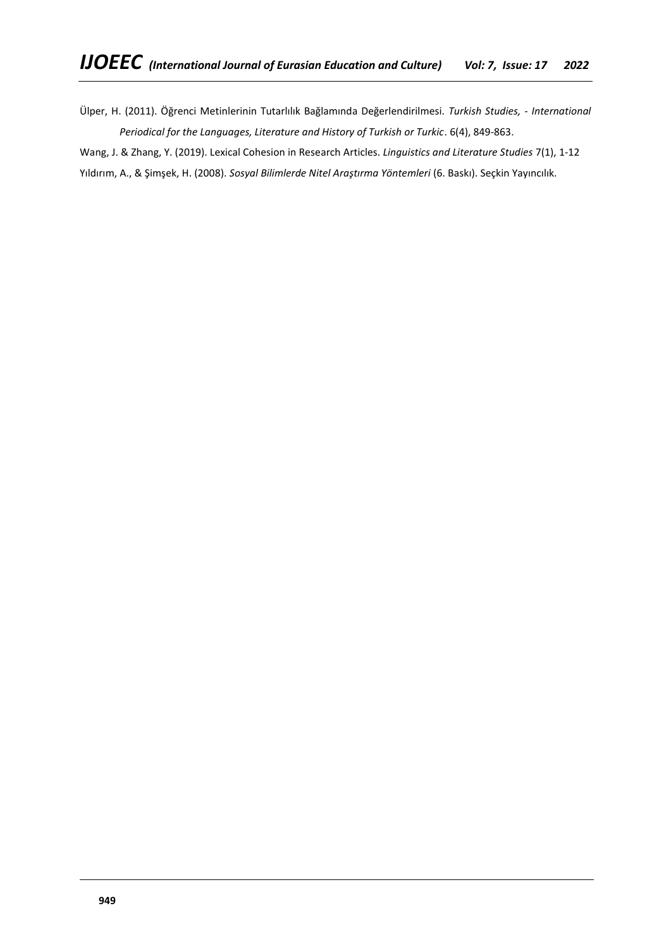Ülper, H. (2011). Öğrenci Metinlerinin Tutarlılık Bağlamında Değerlendirilmesi. *Turkish Studies, - International*  Periodical for the Languages, Literature and History of Turkish or Turkic. 6(4), 849-863.

Wang, J. & Zhang, Y. (2019). Lexical Cohesion in Research Articles. *Linguistics and Literature Studies* 7(1), 1-12 Yıldırım, A., & Şimşek, H. (2008). *Sosyal Bilimlerde Nitel Araştırma Yöntemleri* (6. Baskı). Seçkin Yayıncılık.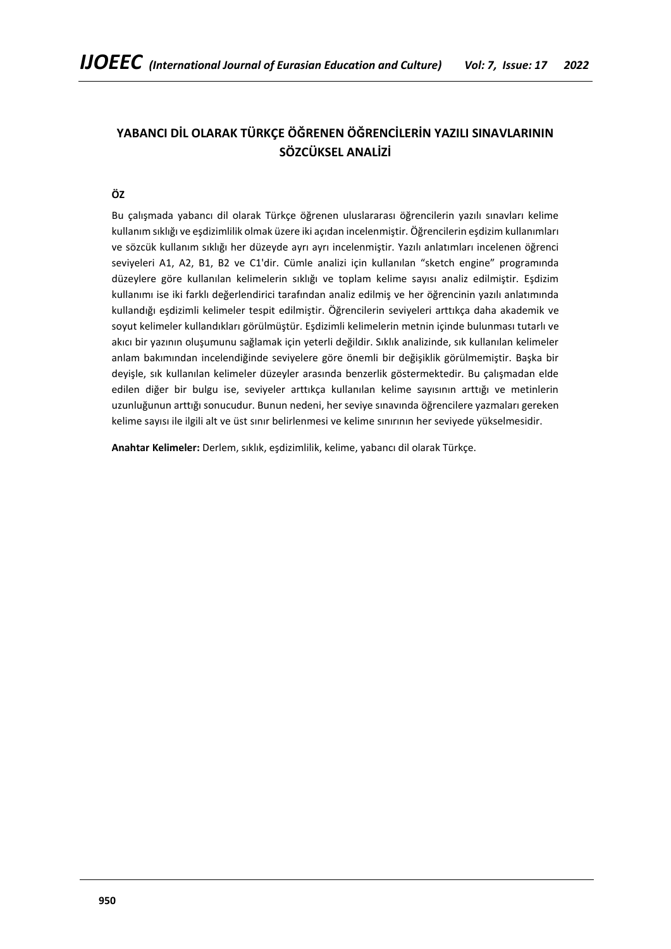# **YABANCI DİL OLARAK TÜRKÇE ÖĞRENEN ÖĞRENCİLERİN YAZILI SINAVLARININ SÖZCÜKSEL ANALİZİ**

# **ÖZ**

Bu çalışmada yabancı dil olarak Türkçe öğrenen uluslararası öğrencilerin yazılı sınavları kelime kullanım sıklığı ve eşdizimlilik olmak üzere iki açıdan incelenmiştir. Öğrencilerin eşdizim kullanımları ve sözcük kullanım sıklığı her düzeyde ayrı ayrı incelenmiştir. Yazılı anlatımları incelenen öğrenci seviyeleri A1, A2, B1, B2 ve C1'dir. Cümle analizi için kullanılan "sketch engine" programında düzeylere göre kullanılan kelimelerin sıklığı ve toplam kelime sayısı analiz edilmiştir. Eşdizim kullanımı ise iki farklı değerlendirici tarafından analiz edilmiş ve her öğrencinin yazılı anlatımında kullandığı eşdizimli kelimeler tespit edilmiştir. Öğrencilerin seviyeleri arttıkça daha akademik ve soyut kelimeler kullandıkları görülmüştür. Eşdizimli kelimelerin metnin içinde bulunması tutarlı ve akıcı bir yazının oluşumunu sağlamak için yeterli değildir. Sıklık analizinde, sık kullanılan kelimeler anlam bakımından incelendiğinde seviyelere göre önemli bir değişiklik görülmemiştir. Başka bir deyişle, sık kullanılan kelimeler düzeyler arasında benzerlik göstermektedir. Bu çalışmadan elde edilen diğer bir bulgu ise, seviyeler arttıkça kullanılan kelime sayısının arttığı ve metinlerin uzunluğunun arttığı sonucudur. Bunun nedeni, her seviye sınavında öğrencilere yazmaları gereken kelime sayısı ile ilgili alt ve üst sınır belirlenmesi ve kelime sınırının her seviyede yükselmesidir.

**Anahtar Kelimeler:** Derlem, sıklık, eşdizimlilik, kelime, yabancı dil olarak Türkçe.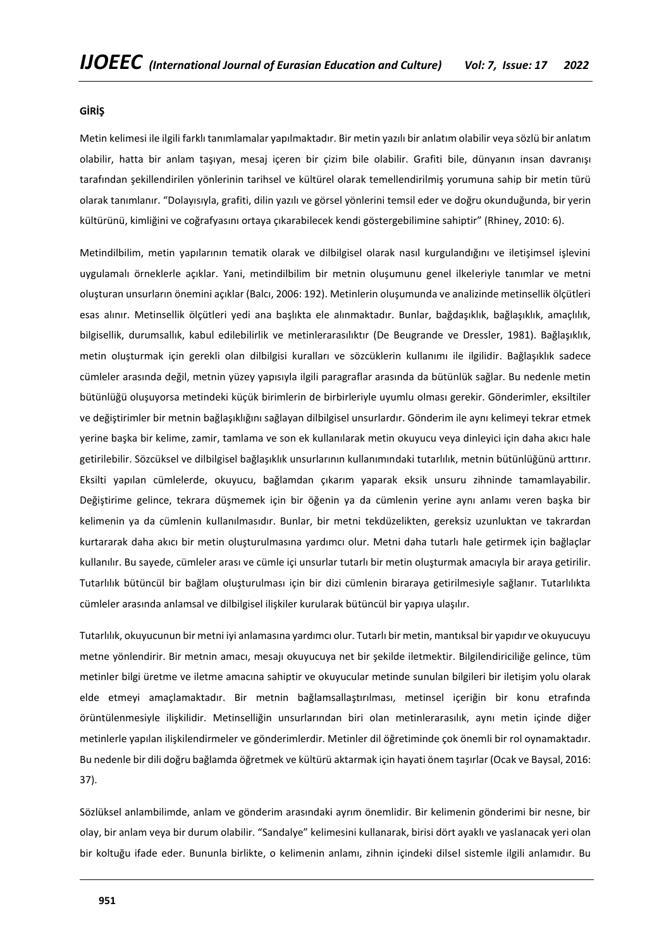#### **GİRİŞ**

Metin kelimesi ile ilgili farklı tanımlamalar yapılmaktadır. Bir metin yazılı bir anlatım olabilir veya sözlü bir anlatım olabilir, hatta bir anlam taşıyan, mesaj içeren bir çizim bile olabilir. Grafiti bile, dünyanın insan davranışı tarafından şekillendirilen yönlerinin tarihsel ve kültürel olarak temellendirilmiş yorumuna sahip bir metin türü olarak tanımlanır. "Dolayısıyla, grafiti, dilin yazılı ve görsel yönlerini temsil eder ve doğru okunduğunda, bir yerin kültürünü, kimliğini ve coğrafyasını ortaya çıkarabilecek kendi göstergebilimine sahiptir" (Rhiney, 2010: 6).

Metindilbilim, metin yapılarının tematik olarak ve dilbilgisel olarak nasıl kurgulandığını ve iletişimsel işlevini uygulamalı örneklerle açıklar. Yani, metindilbilim bir metnin oluşumunu genel ilkeleriyle tanımlar ve metni oluşturan unsurların önemini açıklar (Balcı, 2006: 192). Metinlerin oluşumunda ve analizinde metinsellik ölçütleri esas alınır. Metinsellik ölçütleri yedi ana başlıkta ele alınmaktadır. Bunlar, bağdaşıklık, bağlaşıklık, amaçlılık, bilgisellik, durumsallık, kabul edilebilirlik ve metinlerarasılıktır (De Beugrande ve Dressler, 1981). Bağlaşıklık, metin oluşturmak için gerekli olan dilbilgisi kuralları ve sözcüklerin kullanımı ile ilgilidir. Bağlaşıklık sadece cümleler arasında değil, metnin yüzey yapısıyla ilgili paragraflar arasında da bütünlük sağlar. Bu nedenle metin bütünlüğü oluşuyorsa metindeki küçük birimlerin de birbirleriyle uyumlu olması gerekir. Gönderimler, eksiltiler ve değiştirimler bir metnin bağlaşıklığını sağlayan dilbilgisel unsurlardır. Gönderim ile aynı kelimeyi tekrar etmek yerine başka bir kelime, zamir, tamlama ve son ek kullanılarak metin okuyucu veya dinleyici için daha akıcı hale getirilebilir. Sözcüksel ve dilbilgisel bağlaşıklık unsurlarının kullanımındaki tutarlılık, metnin bütünlüğünü arttırır. Eksilti yapılan cümlelerde, okuyucu, bağlamdan çıkarım yaparak eksik unsuru zihninde tamamlayabilir. Değiştirime gelince, tekrara düşmemek için bir öğenin ya da cümlenin yerine aynı anlamı veren başka bir kelimenin ya da cümlenin kullanılmasıdır. Bunlar, bir metni tekdüzelikten, gereksiz uzunluktan ve takrardan kurtararak daha akıcı bir metin oluşturulmasına yardımcı olur. Metni daha tutarlı hale getirmek için bağlaçlar kullanılır. Bu sayede, cümleler arası ve cümle içi unsurlar tutarlı bir metin oluşturmak amacıyla bir araya getirilir. Tutarlılık bütüncül bir bağlam oluşturulması için bir dizi cümlenin biraraya getirilmesiyle sağlanır. Tutarlılıkta cümleler arasında anlamsal ve dilbilgisel ilişkiler kurularak bütüncül bir yapıya ulaşılır.

Tutarlılık, okuyucunun bir metni iyi anlamasına yardımcı olur. Tutarlı bir metin, mantıksal bir yapıdır ve okuyucuyu metne yönlendirir. Bir metnin amacı, mesajı okuyucuya net bir şekilde iletmektir. Bilgilendiriciliğe gelince, tüm metinler bilgi üretme ve iletme amacına sahiptir ve okuyucular metinde sunulan bilgileri bir iletişim yolu olarak elde etmeyi amaçlamaktadır. Bir metnin bağlamsallaştırılması, metinsel içeriğin bir konu etrafında örüntülenmesiyle ilişkilidir. Metinselliğin unsurlarından biri olan metinlerarasılık, aynı metin içinde diğer metinlerle yapılan ilişkilendirmeler ve gönderimlerdir. Metinler dil öğretiminde çok önemli bir rol oynamaktadır. Bu nedenle bir dili doğru bağlamda öğretmek ve kültürü aktarmak için hayati önem taşırlar (Ocak ve Baysal, 2016: 37).

Sözlüksel anlambilimde, anlam ve gönderim arasındaki ayrım önemlidir. Bir kelimenin gönderimi bir nesne, bir olay, bir anlam veya bir durum olabilir. "Sandalye" kelimesini kullanarak, birisi dört ayaklı ve yaslanacak yeri olan bir koltuğu ifade eder. Bununla birlikte, o kelimenin anlamı, zihnin içindeki dilsel sistemle ilgili anlamıdır. Bu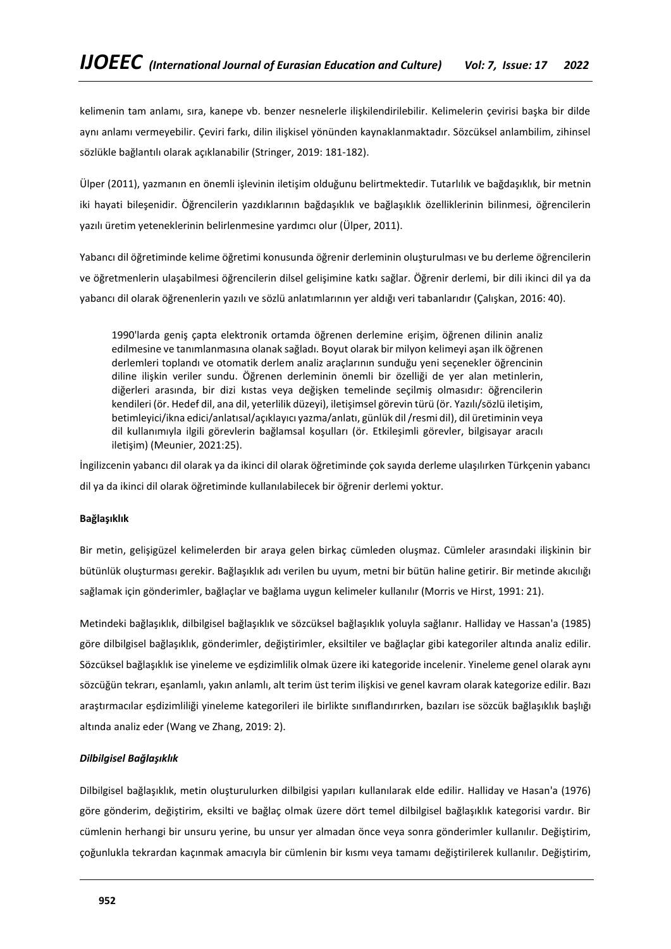kelimenin tam anlamı, sıra, kanepe vb. benzer nesnelerle ilişkilendirilebilir. Kelimelerin çevirisi başka bir dilde aynı anlamı vermeyebilir. Çeviri farkı, dilin ilişkisel yönünden kaynaklanmaktadır. Sözcüksel anlambilim, zihinsel sözlükle bağlantılı olarak açıklanabilir (Stringer, 2019: 181-182).

Ülper (2011), yazmanın en önemli işlevinin iletişim olduğunu belirtmektedir. Tutarlılık ve bağdaşıklık, bir metnin iki hayati bileşenidir. Öğrencilerin yazdıklarının bağdaşıklık ve bağlaşıklık özelliklerinin bilinmesi, öğrencilerin yazılı üretim yeteneklerinin belirlenmesine yardımcı olur (Ülper, 2011).

Yabancı dil öğretiminde kelime öğretimi konusunda öğrenir derleminin oluşturulması ve bu derleme öğrencilerin ve öğretmenlerin ulaşabilmesi öğrencilerin dilsel gelişimine katkı sağlar. Öğrenir derlemi, bir dili ikinci dil ya da yabancı dil olarak öğrenenlerin yazılı ve sözlü anlatımlarının yer aldığı veri tabanlarıdır (Çalışkan, 2016: 40).

1990'larda geniş çapta elektronik ortamda öğrenen derlemine erişim, öğrenen dilinin analiz edilmesine ve tanımlanmasına olanak sağladı. Boyut olarak bir milyon kelimeyi aşan ilk öğrenen derlemleri toplandı ve otomatik derlem analiz araçlarının sunduğu yeni seçenekler öğrencinin diline ilişkin veriler sundu. Öğrenen derleminin önemli bir özelliği de yer alan metinlerin, diğerleri arasında, bir dizi kıstas veya değişken temelinde seçilmiş olmasıdır: öğrencilerin kendileri (ör. Hedef dil, ana dil, yeterlilik düzeyi), iletişimsel görevin türü (ör. Yazılı/sözlü iletişim, betimleyici/ikna edici/anlatısal/açıklayıcı yazma/anlatı, günlük dil /resmi dil), dil üretiminin veya dil kullanımıyla ilgili görevlerin bağlamsal koşulları (ör. Etkileşimli görevler, bilgisayar aracılı iletişim) (Meunier, 2021:25).

İngilizcenin yabancı dil olarak ya da ikinci dil olarak öğretiminde çok sayıda derleme ulaşılırken Türkçenin yabancı dil ya da ikinci dil olarak öğretiminde kullanılabilecek bir öğrenir derlemi yoktur.

## **Bağlaşıklık**

Bir metin, gelişigüzel kelimelerden bir araya gelen birkaç cümleden oluşmaz. Cümleler arasındaki ilişkinin bir bütünlük oluşturması gerekir. Bağlaşıklık adı verilen bu uyum, metni bir bütün haline getirir. Bir metinde akıcılığı sağlamak için gönderimler, bağlaçlar ve bağlama uygun kelimeler kullanılır (Morris ve Hirst, 1991: 21).

Metindeki bağlaşıklık, dilbilgisel bağlaşıklık ve sözcüksel bağlaşıklık yoluyla sağlanır. Halliday ve Hassan'a (1985) göre dilbilgisel bağlaşıklık, gönderimler, değiştirimler, eksiltiler ve bağlaçlar gibi kategoriler altında analiz edilir. Sözcüksel bağlaşıklık ise yineleme ve eşdizimlilik olmak üzere iki kategoride incelenir. Yineleme genel olarak aynı sözcüğün tekrarı, eşanlamlı, yakın anlamlı, alt terim üst terim ilişkisi ve genel kavram olarak kategorize edilir. Bazı araştırmacılar eşdizimliliği yineleme kategorileri ile birlikte sınıflandırırken, bazıları ise sözcük bağlaşıklık başlığı altında analiz eder (Wang ve Zhang, 2019: 2).

## *Dilbilgisel Bağlaşıklık*

Dilbilgisel bağlaşıklık, metin oluşturulurken dilbilgisi yapıları kullanılarak elde edilir. Halliday ve Hasan'a (1976) göre gönderim, değiştirim, eksilti ve bağlaç olmak üzere dört temel dilbilgisel bağlaşıklık kategorisi vardır. Bir cümlenin herhangi bir unsuru yerine, bu unsur yer almadan önce veya sonra gönderimler kullanılır. Değiştirim, çoğunlukla tekrardan kaçınmak amacıyla bir cümlenin bir kısmı veya tamamı değiştirilerek kullanılır. Değiştirim,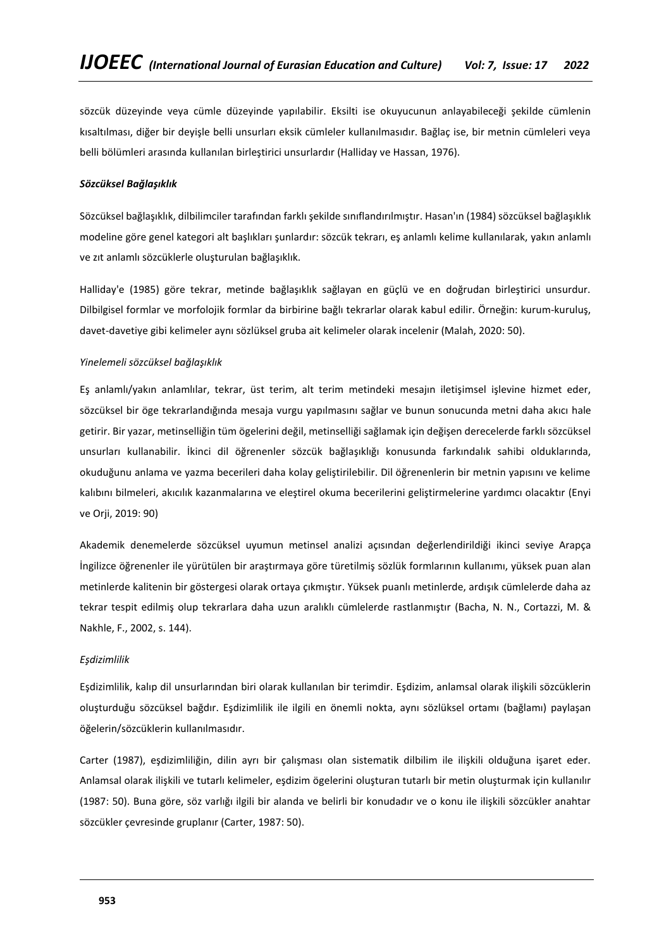sözcük düzeyinde veya cümle düzeyinde yapılabilir. Eksilti ise okuyucunun anlayabileceği şekilde cümlenin kısaltılması, diğer bir deyişle belli unsurları eksik cümleler kullanılmasıdır. Bağlaç ise, bir metnin cümleleri veya belli bölümleri arasında kullanılan birleştirici unsurlardır (Halliday ve Hassan, 1976).

#### *Sözcüksel Bağlaşıklık*

Sözcüksel bağlaşıklık, dilbilimciler tarafından farklı şekilde sınıflandırılmıştır. Hasan'ın (1984) sözcüksel bağlaşıklık modeline göre genel kategori alt başlıkları şunlardır: sözcük tekrarı, eş anlamlı kelime kullanılarak, yakın anlamlı ve zıt anlamlı sözcüklerle oluşturulan bağlaşıklık.

Halliday'e (1985) göre tekrar, metinde bağlaşıklık sağlayan en güçlü ve en doğrudan birleştirici unsurdur. Dilbilgisel formlar ve morfolojik formlar da birbirine bağlı tekrarlar olarak kabul edilir. Örneğin: kurum-kuruluş, davet-davetiye gibi kelimeler aynı sözlüksel gruba ait kelimeler olarak incelenir (Malah, 2020: 50).

#### *Yinelemeli sözcüksel bağlaşıklık*

Eş anlamlı/yakın anlamlılar, tekrar, üst terim, alt terim metindeki mesajın iletişimsel işlevine hizmet eder, sözcüksel bir öge tekrarlandığında mesaja vurgu yapılmasını sağlar ve bunun sonucunda metni daha akıcı hale getirir. Bir yazar, metinselliğin tüm ögelerini değil, metinselliği sağlamak için değişen derecelerde farklı sözcüksel unsurları kullanabilir. İkinci dil öğrenenler sözcük bağlaşıklığı konusunda farkındalık sahibi olduklarında, okuduğunu anlama ve yazma becerileri daha kolay geliştirilebilir. Dil öğrenenlerin bir metnin yapısını ve kelime kalıbını bilmeleri, akıcılık kazanmalarına ve eleştirel okuma becerilerini geliştirmelerine yardımcı olacaktır (Enyi ve Orji, 2019: 90)

Akademik denemelerde sözcüksel uyumun metinsel analizi açısından değerlendirildiği ikinci seviye Arapça İngilizce öğrenenler ile yürütülen bir araştırmaya göre türetilmiş sözlük formlarının kullanımı, yüksek puan alan metinlerde kalitenin bir göstergesi olarak ortaya çıkmıştır. Yüksek puanlı metinlerde, ardışık cümlelerde daha az tekrar tespit edilmiş olup tekrarlara daha uzun aralıklı cümlelerde rastlanmıştır (Bacha, N. N., Cortazzi, M. & Nakhle, F., 2002, s. 144).

#### *Eşdizimlilik*

Eşdizimlilik, kalıp dil unsurlarından biri olarak kullanılan bir terimdir. Eşdizim, anlamsal olarak ilişkili sözcüklerin oluşturduğu sözcüksel bağdır. Eşdizimlilik ile ilgili en önemli nokta, aynı sözlüksel ortamı (bağlamı) paylaşan öğelerin/sözcüklerin kullanılmasıdır.

Carter (1987), eşdizimliliğin, dilin ayrı bir çalışması olan sistematik dilbilim ile ilişkili olduğuna işaret eder. Anlamsal olarak ilişkili ve tutarlı kelimeler, eşdizim ögelerini oluşturan tutarlı bir metin oluşturmak için kullanılır (1987: 50). Buna göre, söz varlığı ilgili bir alanda ve belirli bir konudadır ve o konu ile ilişkili sözcükler anahtar sözcükler çevresinde gruplanır (Carter, 1987: 50).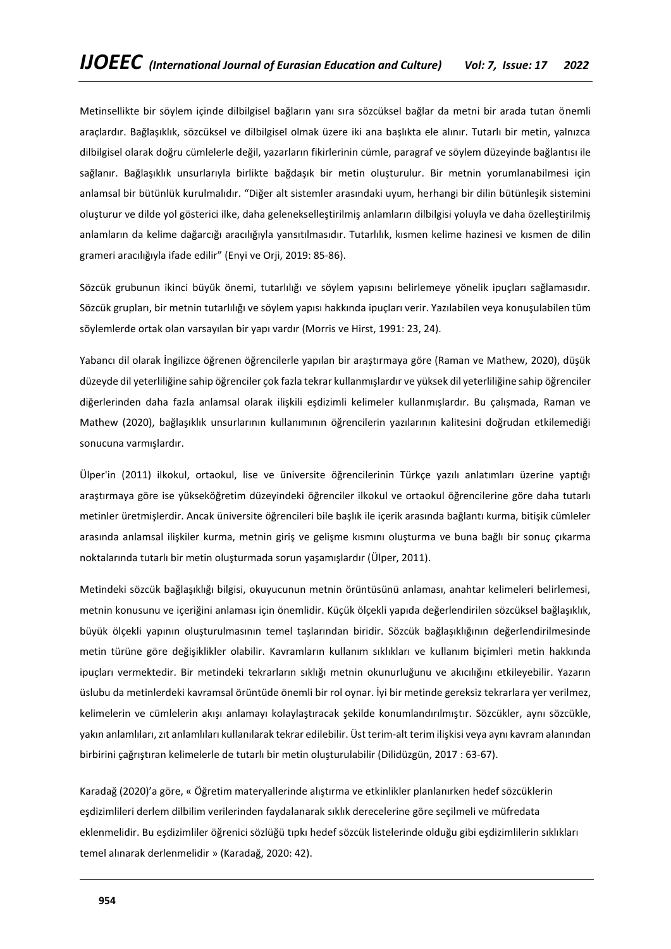Metinsellikte bir söylem içinde dilbilgisel bağların yanı sıra sözcüksel bağlar da metni bir arada tutan önemli araçlardır. Bağlaşıklık, sözcüksel ve dilbilgisel olmak üzere iki ana başlıkta ele alınır. Tutarlı bir metin, yalnızca dilbilgisel olarak doğru cümlelerle değil, yazarların fikirlerinin cümle, paragraf ve söylem düzeyinde bağlantısı ile sağlanır. Bağlaşıklık unsurlarıyla birlikte bağdaşık bir metin oluşturulur. Bir metnin yorumlanabilmesi için anlamsal bir bütünlük kurulmalıdır. "Diğer alt sistemler arasındaki uyum, herhangi bir dilin bütünleşik sistemini oluşturur ve dilde yol gösterici ilke, daha gelenekselleştirilmiş anlamların dilbilgisi yoluyla ve daha özelleştirilmiş anlamların da kelime dağarcığı aracılığıyla yansıtılmasıdır. Tutarlılık, kısmen kelime hazinesi ve kısmen de dilin grameri aracılığıyla ifade edilir" (Enyi ve Orji, 2019: 85-86).

Sözcük grubunun ikinci büyük önemi, tutarlılığı ve söylem yapısını belirlemeye yönelik ipuçları sağlamasıdır. Sözcük grupları, bir metnin tutarlılığı ve söylem yapısı hakkında ipuçları verir. Yazılabilen veya konuşulabilen tüm söylemlerde ortak olan varsayılan bir yapı vardır (Morris ve Hirst, 1991: 23, 24).

Yabancı dil olarak İngilizce öğrenen öğrencilerle yapılan bir araştırmaya göre (Raman ve Mathew, 2020), düşük düzeyde dil yeterliliğine sahip öğrenciler çok fazla tekrar kullanmışlardır ve yüksek dil yeterliliğine sahip öğrenciler diğerlerinden daha fazla anlamsal olarak ilişkili eşdizimli kelimeler kullanmışlardır. Bu çalışmada, Raman ve Mathew (2020), bağlaşıklık unsurlarının kullanımının öğrencilerin yazılarının kalitesini doğrudan etkilemediği sonucuna varmışlardır.

Ülper'in (2011) ilkokul, ortaokul, lise ve üniversite öğrencilerinin Türkçe yazılı anlatımları üzerine yaptığı araştırmaya göre ise yükseköğretim düzeyindeki öğrenciler ilkokul ve ortaokul öğrencilerine göre daha tutarlı metinler üretmişlerdir. Ancak üniversite öğrencileri bile başlık ile içerik arasında bağlantı kurma, bitişik cümleler arasında anlamsal ilişkiler kurma, metnin giriş ve gelişme kısmını oluşturma ve buna bağlı bir sonuç çıkarma noktalarında tutarlı bir metin oluşturmada sorun yaşamışlardır (Ülper, 2011).

Metindeki sözcük bağlaşıklığı bilgisi, okuyucunun metnin örüntüsünü anlaması, anahtar kelimeleri belirlemesi, metnin konusunu ve içeriğini anlaması için önemlidir. Küçük ölçekli yapıda değerlendirilen sözcüksel bağlaşıklık, büyük ölçekli yapının oluşturulmasının temel taşlarından biridir. Sözcük bağlaşıklığının değerlendirilmesinde metin türüne göre değişiklikler olabilir. Kavramların kullanım sıklıkları ve kullanım biçimleri metin hakkında ipuçları vermektedir. Bir metindeki tekrarların sıklığı metnin okunurluğunu ve akıcılığını etkileyebilir. Yazarın üslubu da metinlerdeki kavramsal örüntüde önemli bir rol oynar. İyi bir metinde gereksiz tekrarlara yer verilmez, kelimelerin ve cümlelerin akışı anlamayı kolaylaştıracak şekilde konumlandırılmıştır. Sözcükler, aynı sözcükle, yakın anlamlıları, zıt anlamlıları kullanılarak tekrar edilebilir. Üst terim-alt terim ilişkisi veya aynı kavram alanından birbirini çağrıştıran kelimelerle de tutarlı bir metin oluşturulabilir (Dilidüzgün, 2017 : 63-67).

Karadağ (2020)'a göre, « Öğretim materyallerinde alıştırma ve etkinlikler planlanırken hedef sözcüklerin eşdizimlileri derlem dilbilim verilerinden faydalanarak sıklık derecelerine göre seçilmeli ve müfredata eklenmelidir. Bu eşdizimliler öğrenici sözlüğü tıpkı hedef sözcük listelerinde olduğu gibi eşdizimlilerin sıklıkları temel alınarak derlenmelidir » (Karadağ, 2020: 42).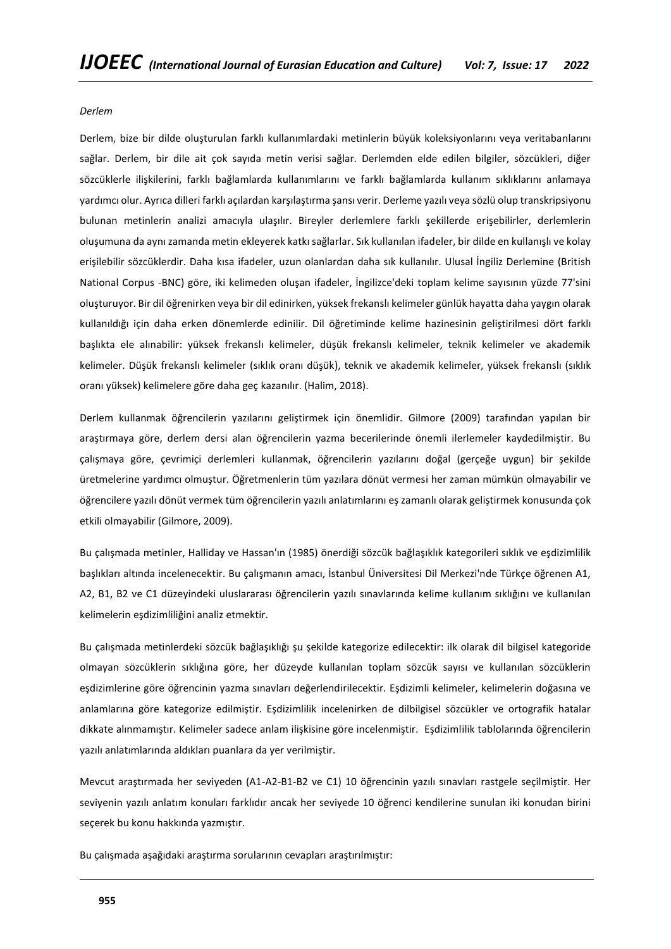#### *Derlem*

Derlem, bize bir dilde oluşturulan farklı kullanımlardaki metinlerin büyük koleksiyonlarını veya veritabanlarını sağlar. Derlem, bir dile ait çok sayıda metin verisi sağlar. Derlemden elde edilen bilgiler, sözcükleri, diğer sözcüklerle ilişkilerini, farklı bağlamlarda kullanımlarını ve farklı bağlamlarda kullanım sıklıklarını anlamaya yardımcı olur. Ayrıca dilleri farklı açılardan karşılaştırma şansı verir. Derleme yazılı veya sözlü olup transkripsiyonu bulunan metinlerin analizi amacıyla ulaşılır. Bireyler derlemlere farklı şekillerde erişebilirler, derlemlerin oluşumuna da aynı zamanda metin ekleyerek katkı sağlarlar. Sık kullanılan ifadeler, bir dilde en kullanışlı ve kolay erişilebilir sözcüklerdir. Daha kısa ifadeler, uzun olanlardan daha sık kullanılır. Ulusal İngiliz Derlemine (British National Corpus -BNC) göre, iki kelimeden oluşan ifadeler, İngilizce'deki toplam kelime sayısının yüzde 77'sini oluşturuyor. Bir dil öğrenirken veya bir dil edinirken, yüksek frekanslı kelimeler günlük hayatta daha yaygın olarak kullanıldığı için daha erken dönemlerde edinilir. Dil öğretiminde kelime hazinesinin geliştirilmesi dört farklı başlıkta ele alınabilir: yüksek frekanslı kelimeler, düşük frekanslı kelimeler, teknik kelimeler ve akademik kelimeler. Düşük frekanslı kelimeler (sıklık oranı düşük), teknik ve akademik kelimeler, yüksek frekanslı (sıklık oranı yüksek) kelimelere göre daha geç kazanılır. (Halim, 2018).

Derlem kullanmak öğrencilerin yazılarını geliştirmek için önemlidir. Gilmore (2009) tarafından yapılan bir araştırmaya göre, derlem dersi alan öğrencilerin yazma becerilerinde önemli ilerlemeler kaydedilmiştir. Bu çalışmaya göre, çevrimiçi derlemleri kullanmak, öğrencilerin yazılarını doğal (gerçeğe uygun) bir şekilde üretmelerine yardımcı olmuştur. Öğretmenlerin tüm yazılara dönüt vermesi her zaman mümkün olmayabilir ve öğrencilere yazılı dönüt vermek tüm öğrencilerin yazılı anlatımlarını eş zamanlı olarak geliştirmek konusunda çok etkili olmayabilir (Gilmore, 2009).

Bu çalışmada metinler, Halliday ve Hassan'ın (1985) önerdiği sözcük bağlaşıklık kategorileri sıklık ve eşdizimlilik başlıkları altında incelenecektir. Bu çalışmanın amacı, İstanbul Üniversitesi Dil Merkezi'nde Türkçe öğrenen A1, A2, B1, B2 ve C1 düzeyindeki uluslararası öğrencilerin yazılı sınavlarında kelime kullanım sıklığını ve kullanılan kelimelerin eşdizimliliğini analiz etmektir.

Bu çalışmada metinlerdeki sözcük bağlaşıklığı şu şekilde kategorize edilecektir: ilk olarak dil bilgisel kategoride olmayan sözcüklerin sıklığına göre, her düzeyde kullanılan toplam sözcük sayısı ve kullanılan sözcüklerin eşdizimlerine göre öğrencinin yazma sınavları değerlendirilecektir. Eşdizimli kelimeler, kelimelerin doğasına ve anlamlarına göre kategorize edilmiştir. Eşdizimlilik incelenirken de dilbilgisel sözcükler ve ortografik hatalar dikkate alınmamıştır. Kelimeler sadece anlam ilişkisine göre incelenmiştir. Eşdizimlilik tablolarında öğrencilerin yazılı anlatımlarında aldıkları puanlara da yer verilmiştir.

Mevcut araştırmada her seviyeden (A1-A2-B1-B2 ve C1) 10 öğrencinin yazılı sınavları rastgele seçilmiştir. Her seviyenin yazılı anlatım konuları farklıdır ancak her seviyede 10 öğrenci kendilerine sunulan iki konudan birini seçerek bu konu hakkında yazmıştır.

Bu çalışmada aşağıdaki araştırma sorularının cevapları araştırılmıştır: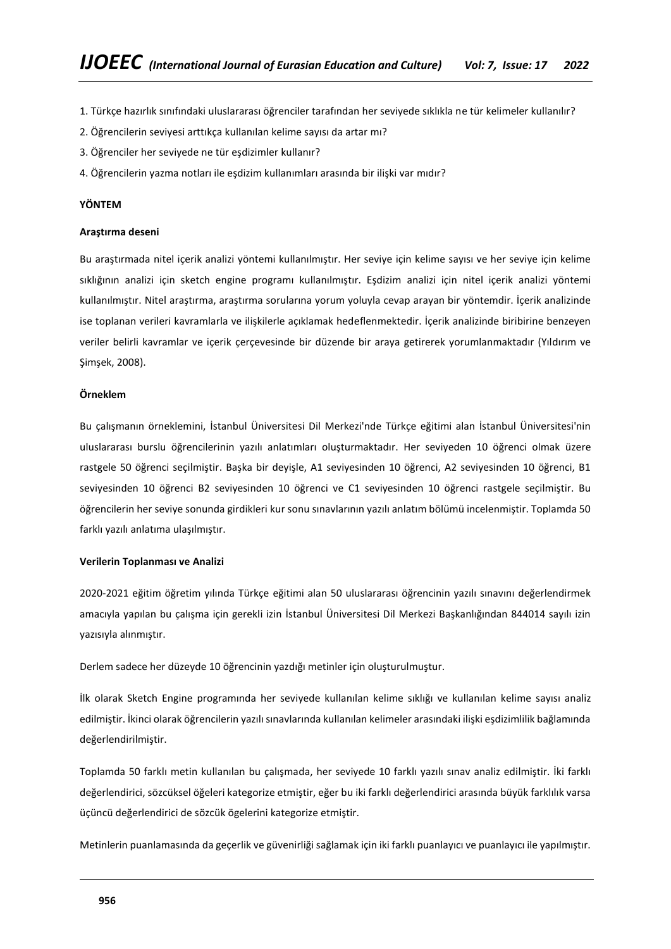- 1. Türkçe hazırlık sınıfındaki uluslararası öğrenciler tarafından her seviyede sıklıkla ne tür kelimeler kullanılır?
- 2. Öğrencilerin seviyesi arttıkça kullanılan kelime sayısı da artar mı?
- 3. Öğrenciler her seviyede ne tür eşdizimler kullanır?
- 4. Öğrencilerin yazma notları ile eşdizim kullanımları arasında bir ilişki var mıdır?

#### **YÖNTEM**

#### **Araştırma deseni**

Bu araştırmada nitel içerik analizi yöntemi kullanılmıştır. Her seviye için kelime sayısı ve her seviye için kelime sıklığının analizi için sketch engine programı kullanılmıştır. Eşdizim analizi için nitel içerik analizi yöntemi kullanılmıştır. Nitel araştırma, araştırma sorularına yorum yoluyla cevap arayan bir yöntemdir. İçerik analizinde ise toplanan verileri kavramlarla ve ilişkilerle açıklamak hedeflenmektedir. İçerik analizinde biribirine benzeyen veriler belirli kavramlar ve içerik çerçevesinde bir düzende bir araya getirerek yorumlanmaktadır (Yıldırım ve Şimşek, 2008).

#### **Örneklem**

Bu çalışmanın örneklemini, İstanbul Üniversitesi Dil Merkezi'nde Türkçe eğitimi alan İstanbul Üniversitesi'nin uluslararası burslu öğrencilerinin yazılı anlatımları oluşturmaktadır. Her seviyeden 10 öğrenci olmak üzere rastgele 50 öğrenci seçilmiştir. Başka bir deyişle, A1 seviyesinden 10 öğrenci, A2 seviyesinden 10 öğrenci, B1 seviyesinden 10 öğrenci B2 seviyesinden 10 öğrenci ve C1 seviyesinden 10 öğrenci rastgele seçilmiştir. Bu öğrencilerin her seviye sonunda girdikleri kur sonu sınavlarının yazılı anlatım bölümü incelenmiştir. Toplamda 50 farklı yazılı anlatıma ulaşılmıştır.

#### **Verilerin Toplanması ve Analizi**

2020-2021 eğitim öğretim yılında Türkçe eğitimi alan 50 uluslararası öğrencinin yazılı sınavını değerlendirmek amacıyla yapılan bu çalışma için gerekli izin İstanbul Üniversitesi Dil Merkezi Başkanlığından 844014 sayılı izin yazısıyla alınmıştır.

Derlem sadece her düzeyde 10 öğrencinin yazdığı metinler için oluşturulmuştur.

İlk olarak Sketch Engine programında her seviyede kullanılan kelime sıklığı ve kullanılan kelime sayısı analiz edilmiştir. İkinci olarak öğrencilerin yazılı sınavlarında kullanılan kelimeler arasındaki ilişki eşdizimlilik bağlamında değerlendirilmiştir.

Toplamda 50 farklı metin kullanılan bu çalışmada, her seviyede 10 farklı yazılı sınav analiz edilmiştir. İki farklı değerlendirici, sözcüksel öğeleri kategorize etmiştir, eğer bu iki farklı değerlendirici arasında büyük farklılık varsa üçüncü değerlendirici de sözcük ögelerini kategorize etmiştir.

Metinlerin puanlamasında da geçerlik ve güvenirliği sağlamak için iki farklı puanlayıcı ve puanlayıcı ile yapılmıştır.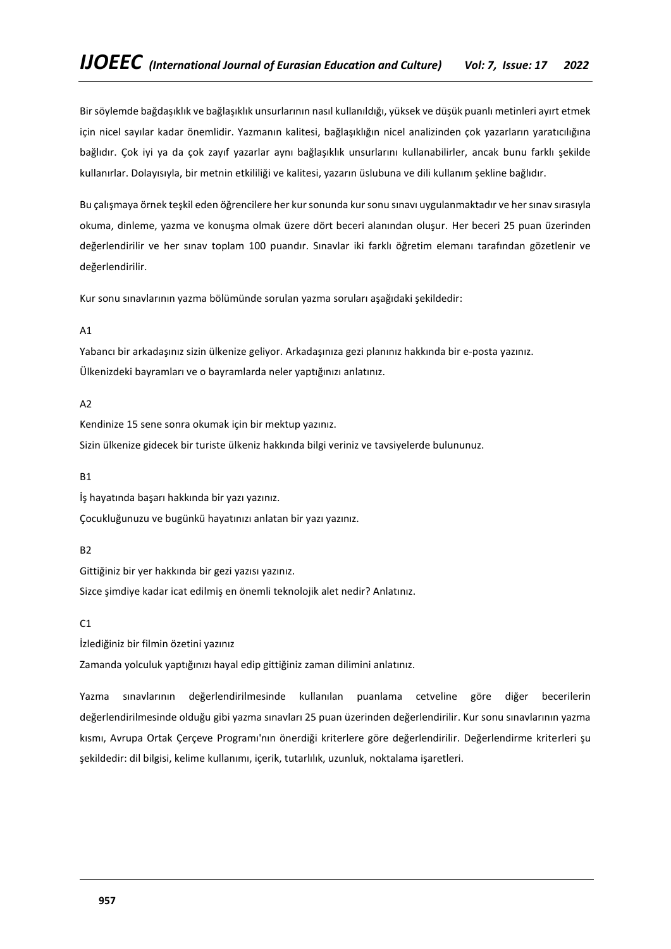Bir söylemde bağdaşıklık ve bağlaşıklık unsurlarının nasıl kullanıldığı, yüksek ve düşük puanlı metinleri ayırt etmek için nicel sayılar kadar önemlidir. Yazmanın kalitesi, bağlaşıklığın nicel analizinden çok yazarların yaratıcılığına bağlıdır. Çok iyi ya da çok zayıf yazarlar aynı bağlaşıklık unsurlarını kullanabilirler, ancak bunu farklı şekilde kullanırlar. Dolayısıyla, bir metnin etkililiği ve kalitesi, yazarın üslubuna ve dili kullanım şekline bağlıdır.

Bu çalışmaya örnek teşkil eden öğrencilere her kursonunda kursonu sınavı uygulanmaktadır ve her sınav sırasıyla okuma, dinleme, yazma ve konuşma olmak üzere dört beceri alanından oluşur. Her beceri 25 puan üzerinden değerlendirilir ve her sınav toplam 100 puandır. Sınavlar iki farklı öğretim elemanı tarafından gözetlenir ve değerlendirilir.

Kur sonu sınavlarının yazma bölümünde sorulan yazma soruları aşağıdaki şekildedir:

# A1

Yabancı bir arkadaşınız sizin ülkenize geliyor. Arkadaşınıza gezi planınız hakkında bir e-posta yazınız. Ülkenizdeki bayramları ve o bayramlarda neler yaptığınızı anlatınız.

# A2

Kendinize 15 sene sonra okumak için bir mektup yazınız. Sizin ülkenize gidecek bir turiste ülkeniz hakkında bilgi veriniz ve tavsiyelerde bulununuz.

# B1

İş hayatında başarı hakkında bir yazı yazınız.

Çocukluğunuzu ve bugünkü hayatınızı anlatan bir yazı yazınız.

# B2

Gittiğiniz bir yer hakkında bir gezi yazısı yazınız.

Sizce şimdiye kadar icat edilmiş en önemli teknolojik alet nedir? Anlatınız.

# $C1$

İzlediğiniz bir filmin özetini yazınız

Zamanda yolculuk yaptığınızı hayal edip gittiğiniz zaman dilimini anlatınız.

Yazma sınavlarının değerlendirilmesinde kullanılan puanlama cetveline göre diğer becerilerin değerlendirilmesinde olduğu gibi yazma sınavları 25 puan üzerinden değerlendirilir. Kur sonu sınavlarının yazma kısmı, Avrupa Ortak Çerçeve Programı'nın önerdiği kriterlere göre değerlendirilir. Değerlendirme kriterleri şu şekildedir: dil bilgisi, kelime kullanımı, içerik, tutarlılık, uzunluk, noktalama işaretleri.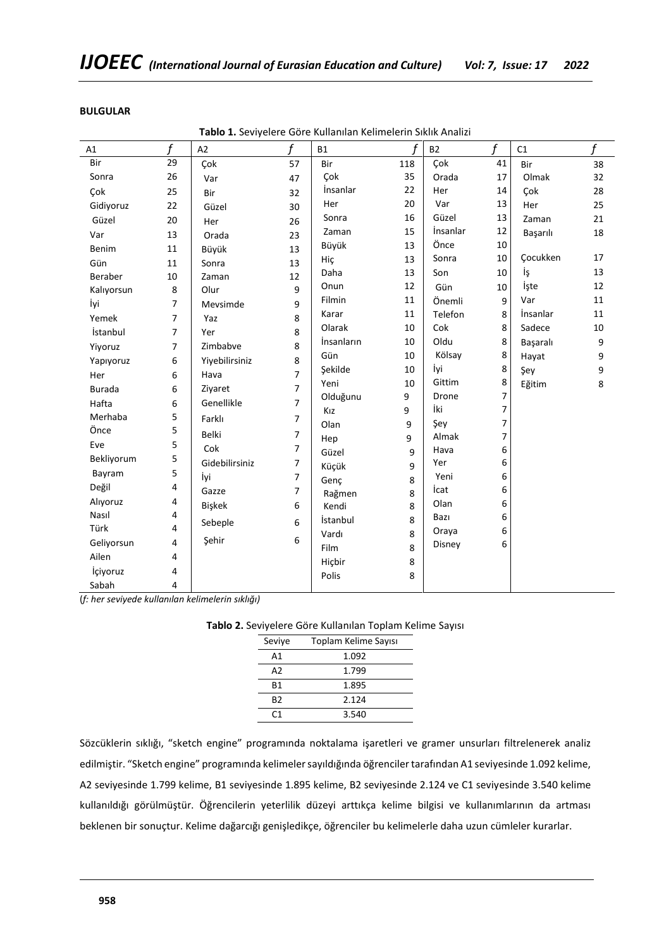| A1            | f              | A2             | f              | <b>B1</b>  | f   | <b>B2</b>   | f              | C1       | f  |
|---------------|----------------|----------------|----------------|------------|-----|-------------|----------------|----------|----|
| Bir           | 29             | Çok            | 57             | Bir        | 118 | Çok         | 41             | Bir      | 38 |
| Sonra         | 26             | Var            | 47             | Çok        | 35  | Orada       | 17             | Olmak    | 32 |
| Çok           | 25             | Bir            | 32             | İnsanlar   | 22  | Her         | 14             | Çok      | 28 |
| Gidiyoruz     | 22             | Güzel          | 30             | Her        | 20  | Var         | 13             | Her      | 25 |
| Güzel         | 20             | Her            | 26             | Sonra      | 16  | Güzel       | 13             | Zaman    | 21 |
| Var           | 13             | Orada          | 23             | Zaman      | 15  | İnsanlar    | 12             | Başarılı | 18 |
| Benim         | 11             | Büyük          | 13             | Büyük      | 13  | Önce        | 10             |          |    |
| Gün           | 11             | Sonra          | 13             | Hic        | 13  | Sonra       | 10             | Çocukken | 17 |
| Beraber       | 10             | Zaman          | 12             | Daha       | 13  | Son         | 10             | İş       | 13 |
| Kalıyorsun    | 8              | Olur           | 9              | Onun       | 12  | Gün         | 10             | İşte     | 12 |
| İyi           | 7              | Mevsimde       | 9              | Filmin     | 11  | Önemli      | 9              | Var      | 11 |
| Yemek         | $\overline{7}$ | Yaz            | 8              | Karar      | 11  | Telefon     | 8              | İnsanlar | 11 |
| İstanbul      | $\overline{7}$ | Yer            | 8              | Olarak     | 10  | Cok         | 8              | Sadece   | 10 |
| Yiyoruz       | $\overline{7}$ | Zimbabve       | 8              | İnsanların | 10  | Oldu        | 8              | Başaralı | 9  |
| Yapıyoruz     | 6              | Yiyebilirsiniz | 8              | Gün        | 10  | Kölsay      | 8              | Hayat    | 9  |
| Her           | 6              | Hava           | $\overline{7}$ | Şekilde    | 10  | İyi         | 8              | Şey      | 9  |
| <b>Burada</b> | 6              | Ziyaret        | $\overline{7}$ | Yeni       | 10  | Gittim      | 8              | Eğitim   | 8  |
| Hafta         | 6              | Genellikle     | $\overline{7}$ | Olduğunu   | 9   | Drone       | 7              |          |    |
| Merhaba       | 5              | Farklı         | $\overline{7}$ | Kız        | 9   | İki         | $\overline{7}$ |          |    |
| Önce          | 5              | <b>Belki</b>   | $\overline{7}$ | Olan       | 9   | Şey         | 7              |          |    |
| Eve           | 5              | Cok            | 7              | Hep        | 9   | Almak       | 7              |          |    |
| Bekliyorum    | 5              | Gidebilirsiniz | $\overline{7}$ | Güzel      | 9   | Hava<br>Yer | 6<br>6         |          |    |
| Bayram        | 5              | İyi            | $\overline{7}$ | Küçük      | 9   | Yeni        | 6              |          |    |
| Değil         | 4              | Gazze          | $\overline{7}$ | Genç       | 8   | İcat        | 6              |          |    |
| Alıyoruz      | 4              |                |                | Rağmen     | 8   | Olan        | 6              |          |    |
| Nasıl         | 4              | Bişkek         | 6              | Kendi      | 8   | Bazı        | 6              |          |    |
| Türk          | 4              | Sebeple        | 6              | İstanbul   | 8   | Oraya       | 6              |          |    |
| Geliyorsun    | 4              | Şehir          | 6              | Vardı      | 8   | Disney      | 6              |          |    |
| Ailen         | 4              |                |                | Film       | 8   |             |                |          |    |
| İçiyoruz      | 4              |                |                | Hiçbir     | 8   |             |                |          |    |
| Sabah         | 4              |                |                | Polis      | 8   |             |                |          |    |

# **BULGULAR**

**Tablo 1.** Seviyelere Göre Kullanılan Kelimelerin Sıklık Analizi

(*f: her seviyede kullanılan kelimelerin sıklığı)*

**Tablo 2.** Seviyelere Göre Kullanılan Toplam Kelime Sayısı

| Seviye         | Toplam Kelime Sayısı |
|----------------|----------------------|
| А1             | 1.092                |
| A2             | 1.799                |
| <b>B1</b>      | 1.895                |
| B <sub>2</sub> | 2.124                |
| ۲1             | 3.540                |

Sözcüklerin sıklığı, "sketch engine" programında noktalama işaretleri ve gramer unsurları filtrelenerek analiz edilmiştir. "Sketch engine" programında kelimeler sayıldığında öğrenciler tarafından A1 seviyesinde 1.092 kelime, A2 seviyesinde 1.799 kelime, B1 seviyesinde 1.895 kelime, B2 seviyesinde 2.124 ve C1 seviyesinde 3.540 kelime kullanıldığı görülmüştür. Öğrencilerin yeterlilik düzeyi arttıkça kelime bilgisi ve kullanımlarının da artması beklenen bir sonuçtur. Kelime dağarcığı genişledikçe, öğrenciler bu kelimelerle daha uzun cümleler kurarlar.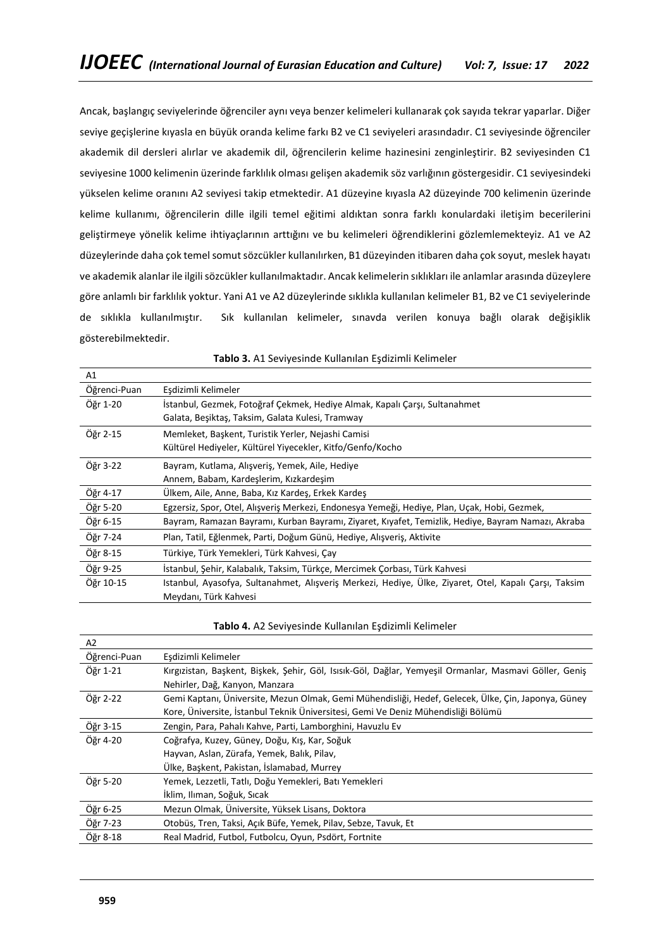Ancak, başlangıç seviyelerinde öğrenciler aynı veya benzer kelimeleri kullanarak çok sayıda tekrar yaparlar. Diğer seviye geçişlerine kıyasla en büyük oranda kelime farkı B2 ve C1 seviyeleri arasındadır. C1 seviyesinde öğrenciler akademik dil dersleri alırlar ve akademik dil, öğrencilerin kelime hazinesini zenginleştirir. B2 seviyesinden C1 seviyesine 1000 kelimenin üzerinde farklılık olması gelişen akademik söz varlığının göstergesidir. C1 seviyesindeki yükselen kelime oranını A2 seviyesi takip etmektedir. A1 düzeyine kıyasla A2 düzeyinde 700 kelimenin üzerinde kelime kullanımı, öğrencilerin dille ilgili temel eğitimi aldıktan sonra farklı konulardaki iletişim becerilerini geliştirmeye yönelik kelime ihtiyaçlarının arttığını ve bu kelimeleri öğrendiklerini gözlemlemekteyiz. A1 ve A2 düzeylerinde daha çok temel somut sözcükler kullanılırken, B1 düzeyinden itibaren daha çok soyut, meslek hayatı ve akademik alanlar ile ilgili sözcükler kullanılmaktadır. Ancak kelimelerin sıklıkları ile anlamlar arasında düzeylere göre anlamlı bir farklılık yoktur. Yani A1 ve A2 düzeylerinde sıklıkla kullanılan kelimeler B1, B2 ve C1 seviyelerinde de sıklıkla kullanılmıştır. Sık kullanılan kelimeler, sınavda verilen konuya bağlı olarak değişiklik gösterebilmektedir.

| A1           |                                                                                                       |
|--------------|-------------------------------------------------------------------------------------------------------|
| Öğrenci-Puan | Eşdizimli Kelimeler                                                                                   |
| Öğr 1-20     | İstanbul, Gezmek, Fotoğraf Çekmek, Hediye Almak, Kapalı Çarşı, Sultanahmet                            |
|              | Galata, Beşiktaş, Taksim, Galata Kulesi, Tramway                                                      |
| Öğr 2-15     | Memleket, Başkent, Turistik Yerler, Nejashi Camisi                                                    |
|              | Kültürel Hediyeler, Kültürel Yiyecekler, Kitfo/Genfo/Kocho                                            |
| Öğr 3-22     | Bayram, Kutlama, Alışveriş, Yemek, Aile, Hediye                                                       |
|              | Annem, Babam, Kardeslerim, Kızkardesim                                                                |
| Öğr 4-17     | Ülkem, Aile, Anne, Baba, Kız Kardeş, Erkek Kardeş                                                     |
| Öğr 5-20     | Egzersiz, Spor, Otel, Alışveriş Merkezi, Endonesya Yemeği, Hediye, Plan, Uçak, Hobi, Gezmek,          |
| Öğr 6-15     | Bayram, Ramazan Bayramı, Kurban Bayramı, Ziyaret, Kıyafet, Temizlik, Hediye, Bayram Namazı, Akraba    |
| Öğr 7-24     | Plan, Tatil, Eğlenmek, Parti, Doğum Günü, Hediye, Alışveriş, Aktivite                                 |
| Öğr 8-15     | Türkiye, Türk Yemekleri, Türk Kahvesi, Çay                                                            |
| Öğr 9-25     | İstanbul, Şehir, Kalabalık, Taksim, Türkçe, Mercimek Çorbası, Türk Kahvesi                            |
| Öğr 10-15    | Istanbul, Ayasofya, Sultanahmet, Alışveriş Merkezi, Hediye, Ülke, Ziyaret, Otel, Kapalı Çarşı, Taksim |
|              | Meydanı, Türk Kahvesi                                                                                 |

#### **Tablo 4.** A2 Seviyesinde Kullanılan Eşdizimli Kelimeler

| Eşdizimli Kelimeler                                                                                    |  |  |  |  |  |  |  |
|--------------------------------------------------------------------------------------------------------|--|--|--|--|--|--|--|
| Kırgızistan, Başkent, Bişkek, Şehir, Göl, Isısık-Göl, Dağlar, Yemyeşil Ormanlar, Masmavi Göller, Geniş |  |  |  |  |  |  |  |
| Nehirler, Dağ, Kanyon, Manzara                                                                         |  |  |  |  |  |  |  |
| Gemi Kaptanı, Üniversite, Mezun Olmak, Gemi Mühendisliği, Hedef, Gelecek, Ülke, Çin, Japonya, Güney    |  |  |  |  |  |  |  |
| Kore, Üniversite, İstanbul Teknik Üniversitesi, Gemi Ve Deniz Mühendisliği Bölümü                      |  |  |  |  |  |  |  |
| Zengin, Para, Pahalı Kahve, Parti, Lamborghini, Havuzlu Ev                                             |  |  |  |  |  |  |  |
| Coğrafya, Kuzey, Güney, Doğu, Kış, Kar, Soğuk                                                          |  |  |  |  |  |  |  |
| Hayvan, Aslan, Zürafa, Yemek, Balık, Pilav,                                                            |  |  |  |  |  |  |  |
| Ülke, Başkent, Pakistan, İslamabad, Murrey                                                             |  |  |  |  |  |  |  |
| Yemek, Lezzetli, Tatlı, Doğu Yemekleri, Batı Yemekleri                                                 |  |  |  |  |  |  |  |
| İklim, Ilıman, Soğuk, Sıcak                                                                            |  |  |  |  |  |  |  |
| Mezun Olmak, Üniversite, Yüksek Lisans, Doktora                                                        |  |  |  |  |  |  |  |
| Otobüs, Tren, Taksi, Açık Büfe, Yemek, Pilav, Sebze, Tavuk, Et                                         |  |  |  |  |  |  |  |
| Real Madrid, Futbol, Futbolcu, Oyun, Psdört, Fortnite                                                  |  |  |  |  |  |  |  |
|                                                                                                        |  |  |  |  |  |  |  |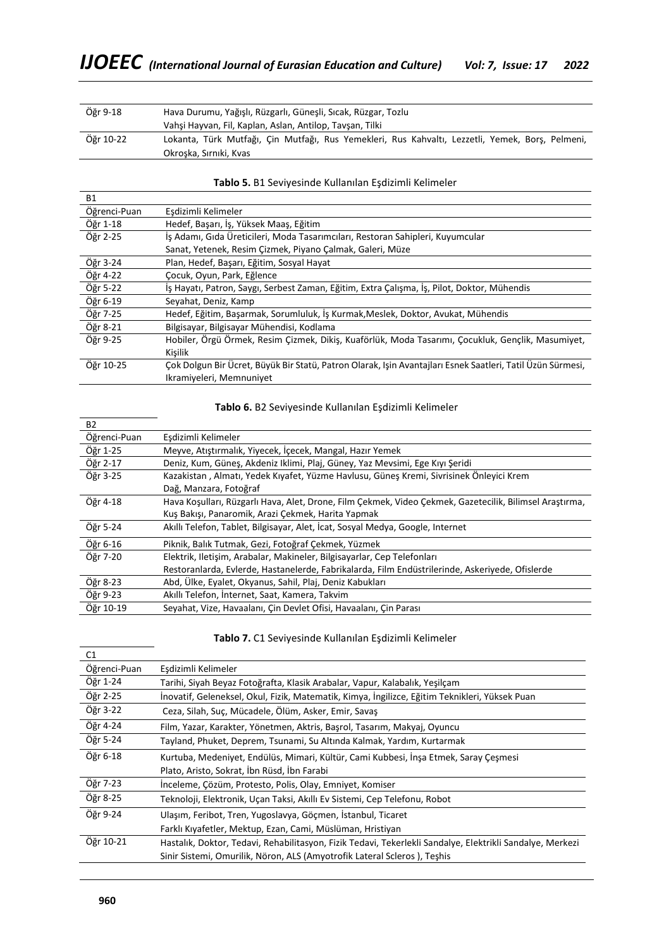| Öğr 9-18  | Hava Durumu, Yağışlı, Rüzgarlı, Güneşli, Sıcak, Rüzgar, Tozlu                                    |  |  |  |  |  |  |  |  |
|-----------|--------------------------------------------------------------------------------------------------|--|--|--|--|--|--|--|--|
|           | Vahsi Hayvan, Fil, Kaplan, Aslan, Antilop, Taysan, Tilki                                         |  |  |  |  |  |  |  |  |
| Öğr 10-22 | Lokanta, Türk Mutfağı, Çin Mutfağı, Rus Yemekleri, Rus Kahvaltı, Lezzetli, Yemek, Bors, Pelmeni, |  |  |  |  |  |  |  |  |
|           | Okroska, Sırnıki, Kvas                                                                           |  |  |  |  |  |  |  |  |

| <b>B1</b>    |                                                                                                            |  |  |  |  |  |
|--------------|------------------------------------------------------------------------------------------------------------|--|--|--|--|--|
| Öğrenci-Puan | Eşdizimli Kelimeler                                                                                        |  |  |  |  |  |
| Öğr 1-18     | Hedef, Başarı, İş, Yüksek Maaş, Eğitim                                                                     |  |  |  |  |  |
| Öğr 2-25     | İs Adamı, Gıda Üreticileri, Moda Tasarımcıları, Restoran Sahipleri, Kuyumcular                             |  |  |  |  |  |
|              | Sanat, Yetenek, Resim Çizmek, Piyano Çalmak, Galeri, Müze                                                  |  |  |  |  |  |
| Öğr 3-24     | Plan, Hedef, Başarı, Eğitim, Sosyal Hayat                                                                  |  |  |  |  |  |
| Öğr 4-22     | Cocuk, Oyun, Park, Eğlence                                                                                 |  |  |  |  |  |
| Öğr 5-22     | İş Hayatı, Patron, Saygı, Serbest Zaman, Eğitim, Extra Çalışma, İş, Pilot, Doktor, Mühendis                |  |  |  |  |  |
| Öğr 6-19     | Seyahat, Deniz, Kamp                                                                                       |  |  |  |  |  |
| Öğr 7-25     | Hedef, Eğitim, Başarmak, Sorumluluk, İş Kurmak, Meslek, Doktor, Avukat, Mühendis                           |  |  |  |  |  |
| Öğr 8-21     | Bilgisayar, Bilgisayar Mühendisi, Kodlama                                                                  |  |  |  |  |  |
| Öğr 9-25     | Hobiler, Örgü Örmek, Resim Cizmek, Dikis, Kuaförlük, Moda Tasarımı, Cocukluk, Genclik, Masumiyet,          |  |  |  |  |  |
|              | Kişilik                                                                                                    |  |  |  |  |  |
| Öğr 10-25    | Cok Dolgun Bir Ücret, Büyük Bir Statü, Patron Olarak, Isin Avantajları Esnek Saatleri, Tatil Üzün Sürmesi, |  |  |  |  |  |
|              | Ikramiyeleri, Memnuniyet                                                                                   |  |  |  |  |  |

**Tablo 5.** B1 Seviyesinde Kullanılan Eşdizimli Kelimeler

# **Tablo 6.** B2 Seviyesinde Kullanılan Eşdizimli Kelimeler

| <b>B2</b>    |                                                                                                         |  |  |  |  |  |  |
|--------------|---------------------------------------------------------------------------------------------------------|--|--|--|--|--|--|
| Öğrenci-Puan | Eşdizimli Kelimeler                                                                                     |  |  |  |  |  |  |
| Öğr 1-25     | Meyve, Atıştırmalık, Yiyecek, İçecek, Mangal, Hazır Yemek                                               |  |  |  |  |  |  |
| Öğr 2-17     | Deniz, Kum, Güneş, Akdeniz Iklimi, Plaj, Güney, Yaz Mevsimi, Ege Kıyı Şeridi                            |  |  |  |  |  |  |
| Öğr 3-25     | Kazakistan, Almatı, Yedek Kıyafet, Yüzme Havlusu, Güneş Kremi, Sivrisinek Önleyici Krem                 |  |  |  |  |  |  |
|              | Dağ, Manzara, Fotoğraf                                                                                  |  |  |  |  |  |  |
| Öğr 4-18     | Hava Koşulları, Rüzgarlı Hava, Alet, Drone, Film Çekmek, Video Çekmek, Gazetecilik, Bilimsel Araştırma, |  |  |  |  |  |  |
|              | Kuş Bakışı, Panaromik, Arazi Çekmek, Harita Yapmak                                                      |  |  |  |  |  |  |
| Öğr 5-24     | Akıllı Telefon, Tablet, Bilgisayar, Alet, İcat, Sosyal Medya, Google, Internet                          |  |  |  |  |  |  |
| Öğr 6-16     | Piknik, Balık Tutmak, Gezi, Fotoğraf Çekmek, Yüzmek                                                     |  |  |  |  |  |  |
| Öğr 7-20     | Elektrik, Iletisim, Arabalar, Makineler, Bilgisayarlar, Cep Telefonları                                 |  |  |  |  |  |  |
|              | Restoranlarda, Evlerde, Hastanelerde, Fabrikalarda, Film Endüstrilerinde, Askeriyede, Ofislerde         |  |  |  |  |  |  |
| Öğr 8-23     | Abd, Ülke, Eyalet, Okyanus, Sahil, Plaj, Deniz Kabukları                                                |  |  |  |  |  |  |
| Öğr 9-23     | Akıllı Telefon, İnternet, Saat, Kamera, Takvim                                                          |  |  |  |  |  |  |
| Öğr 10-19    | Seyahat, Vize, Havaalanı, Çin Devlet Ofisi, Havaalanı, Çin Parası                                       |  |  |  |  |  |  |

# **Tablo 7.** C1 Seviyesinde Kullanılan Eşdizimli Kelimeler

| C1           |                                                                                                           |  |  |  |  |  |
|--------------|-----------------------------------------------------------------------------------------------------------|--|--|--|--|--|
| Öğrenci-Puan | Eşdizimli Kelimeler                                                                                       |  |  |  |  |  |
| Öğr 1-24     | Tarihi, Siyah Beyaz Fotoğrafta, Klasik Arabalar, Vapur, Kalabalık, Yeşilçam                               |  |  |  |  |  |
| Öğr 2-25     | İnovatif, Geleneksel, Okul, Fizik, Matematik, Kimya, İngilizce, Eğitim Teknikleri, Yüksek Puan            |  |  |  |  |  |
| Öğr 3-22     | Ceza, Silah, Suç, Mücadele, Ölüm, Asker, Emir, Savaş                                                      |  |  |  |  |  |
| Öğr 4-24     | Film, Yazar, Karakter, Yönetmen, Aktris, Başrol, Tasarım, Makyaj, Oyuncu                                  |  |  |  |  |  |
| Öğr 5-24     | Tayland, Phuket, Deprem, Tsunami, Su Altında Kalmak, Yardım, Kurtarmak                                    |  |  |  |  |  |
| Öğr 6-18     | Kurtuba, Medeniyet, Endülüs, Mimari, Kültür, Cami Kubbesi, İnsa Etmek, Saray Cesmesi                      |  |  |  |  |  |
|              | Plato, Aristo, Sokrat, İbn Rüsd, İbn Farabi                                                               |  |  |  |  |  |
| Öğr 7-23     | Inceleme, Çözüm, Protesto, Polis, Olay, Emniyet, Komiser                                                  |  |  |  |  |  |
| Öğr 8-25     | Teknoloji, Elektronik, Uçan Taksi, Akıllı Ev Sistemi, Cep Telefonu, Robot                                 |  |  |  |  |  |
| Öğr 9-24     | Ulaşım, Feribot, Tren, Yugoslavya, Göçmen, İstanbul, Ticaret                                              |  |  |  |  |  |
|              | Farklı Kıyafetler, Mektup, Ezan, Cami, Müslüman, Hristiyan                                                |  |  |  |  |  |
| Öğr 10-21    | Hastalık, Doktor, Tedavi, Rehabilitasyon, Fizik Tedavi, Tekerlekli Sandalye, Elektrikli Sandalye, Merkezi |  |  |  |  |  |
|              | Sinir Sistemi, Omurilik, Nöron, ALS (Amyotrofik Lateral Scleros), Teşhis                                  |  |  |  |  |  |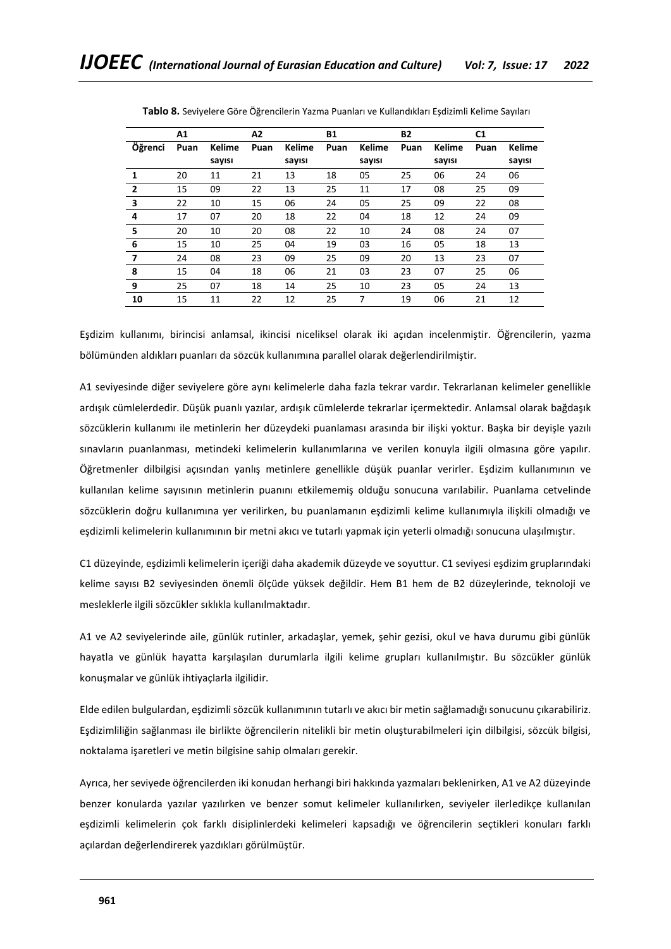|                | Α1   |               | A2   |               | <b>B1</b> |               | <b>B2</b> |        | C1   |        |
|----------------|------|---------------|------|---------------|-----------|---------------|-----------|--------|------|--------|
| Öğrenci        | Puan | <b>Kelime</b> | Puan | <b>Kelime</b> | Puan      | <b>Kelime</b> | Puan      | Kelime | Puan | Kelime |
|                |      | sayısı        |      | sayısı        |           | sayısı        |           | sayısı |      | sayısı |
| 1              | 20   | 11            | 21   | 13            | 18        | 05            | 25        | 06     | 24   | 06     |
| $\overline{2}$ | 15   | 09            | 22   | 13            | 25        | 11            | 17        | 08     | 25   | 09     |
| 3              | 22   | 10            | 15   | 06            | 24        | 05            | 25        | 09     | 22   | 08     |
| 4              | 17   | 07            | 20   | 18            | 22        | 04            | 18        | 12     | 24   | 09     |
| 5              | 20   | 10            | 20   | 08            | 22        | 10            | 24        | 08     | 24   | 07     |
| 6              | 15   | 10            | 25   | 04            | 19        | 03            | 16        | 05     | 18   | 13     |
| 7              | 24   | 08            | 23   | 09            | 25        | 09            | 20        | 13     | 23   | 07     |
| 8              | 15   | 04            | 18   | 06            | 21        | 03            | 23        | 07     | 25   | 06     |
| 9              | 25   | 07            | 18   | 14            | 25        | 10            | 23        | 05     | 24   | 13     |
| 10             | 15   | 11            | 22   | 12            | 25        | 7             | 19        | 06     | 21   | 12     |

**Tablo 8.** Seviyelere Göre Öğrencilerin Yazma Puanları ve Kullandıkları Eşdizimli Kelime Sayıları

Eşdizim kullanımı, birincisi anlamsal, ikincisi niceliksel olarak iki açıdan incelenmiştir. Öğrencilerin, yazma bölümünden aldıkları puanları da sözcük kullanımına parallel olarak değerlendirilmiştir.

A1 seviyesinde diğer seviyelere göre aynı kelimelerle daha fazla tekrar vardır. Tekrarlanan kelimeler genellikle ardışık cümlelerdedir. Düşük puanlı yazılar, ardışık cümlelerde tekrarlar içermektedir. Anlamsal olarak bağdaşık sözcüklerin kullanımı ile metinlerin her düzeydeki puanlaması arasında bir ilişki yoktur. Başka bir deyişle yazılı sınavların puanlanması, metindeki kelimelerin kullanımlarına ve verilen konuyla ilgili olmasına göre yapılır. Öğretmenler dilbilgisi açısından yanlış metinlere genellikle düşük puanlar verirler. Eşdizim kullanımının ve kullanılan kelime sayısının metinlerin puanını etkilememiş olduğu sonucuna varılabilir. Puanlama cetvelinde sözcüklerin doğru kullanımına yer verilirken, bu puanlamanın eşdizimli kelime kullanımıyla ilişkili olmadığı ve eşdizimli kelimelerin kullanımının bir metni akıcı ve tutarlı yapmak için yeterli olmadığı sonucuna ulaşılmıştır.

C1 düzeyinde, eşdizimli kelimelerin içeriği daha akademik düzeyde ve soyuttur. C1 seviyesi eşdizim gruplarındaki kelime sayısı B2 seviyesinden önemli ölçüde yüksek değildir. Hem B1 hem de B2 düzeylerinde, teknoloji ve mesleklerle ilgili sözcükler sıklıkla kullanılmaktadır.

A1 ve A2 seviyelerinde aile, günlük rutinler, arkadaşlar, yemek, şehir gezisi, okul ve hava durumu gibi günlük hayatla ve günlük hayatta karşılaşılan durumlarla ilgili kelime grupları kullanılmıştır. Bu sözcükler günlük konuşmalar ve günlük ihtiyaçlarla ilgilidir.

Elde edilen bulgulardan, eşdizimli sözcük kullanımının tutarlı ve akıcı bir metin sağlamadığı sonucunu çıkarabiliriz. Eşdizimliliğin sağlanması ile birlikte öğrencilerin nitelikli bir metin oluşturabilmeleri için dilbilgisi, sözcük bilgisi, noktalama işaretleri ve metin bilgisine sahip olmaları gerekir.

Ayrıca, her seviyede öğrencilerden iki konudan herhangi biri hakkında yazmaları beklenirken, A1 ve A2 düzeyinde benzer konularda yazılar yazılırken ve benzer somut kelimeler kullanılırken, seviyeler ilerledikçe kullanılan eşdizimli kelimelerin çok farklı disiplinlerdeki kelimeleri kapsadığı ve öğrencilerin seçtikleri konuları farklı açılardan değerlendirerek yazdıkları görülmüştür.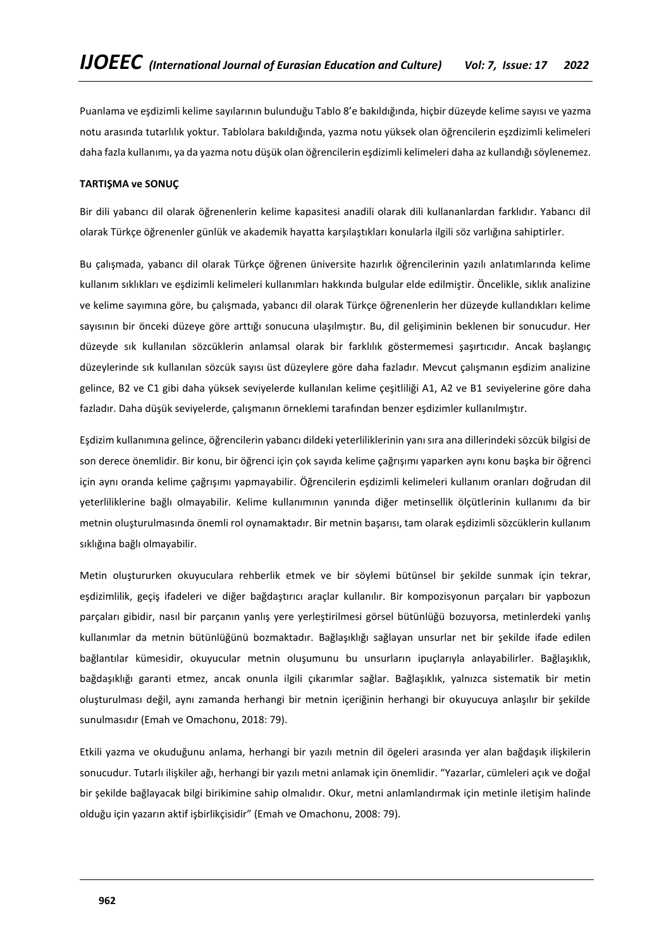Puanlama ve eşdizimli kelime sayılarının bulunduğu Tablo 8'e bakıldığında, hiçbir düzeyde kelime sayısı ve yazma notu arasında tutarlılık yoktur. Tablolara bakıldığında, yazma notu yüksek olan öğrencilerin eşzdizimli kelimeleri daha fazla kullanımı, ya da yazma notu düşük olan öğrencilerin eşdizimli kelimeleri daha az kullandığı söylenemez.

### **TARTIŞMA ve SONUÇ**

Bir dili yabancı dil olarak öğrenenlerin kelime kapasitesi anadili olarak dili kullananlardan farklıdır. Yabancı dil olarak Türkçe öğrenenler günlük ve akademik hayatta karşılaştıkları konularla ilgili söz varlığına sahiptirler.

Bu çalışmada, yabancı dil olarak Türkçe öğrenen üniversite hazırlık öğrencilerinin yazılı anlatımlarında kelime kullanım sıklıkları ve eşdizimli kelimeleri kullanımları hakkında bulgular elde edilmiştir. Öncelikle, sıklık analizine ve kelime sayımına göre, bu çalışmada, yabancı dil olarak Türkçe öğrenenlerin her düzeyde kullandıkları kelime sayısının bir önceki düzeye göre arttığı sonucuna ulaşılmıştır. Bu, dil gelişiminin beklenen bir sonucudur. Her düzeyde sık kullanılan sözcüklerin anlamsal olarak bir farklılık göstermemesi şaşırtıcıdır. Ancak başlangıç düzeylerinde sık kullanılan sözcük sayısı üst düzeylere göre daha fazladır. Mevcut çalışmanın eşdizim analizine gelince, B2 ve C1 gibi daha yüksek seviyelerde kullanılan kelime çeşitliliği A1, A2 ve B1 seviyelerine göre daha fazladır. Daha düşük seviyelerde, çalışmanın örneklemi tarafından benzer eşdizimler kullanılmıştır.

Eşdizim kullanımına gelince, öğrencilerin yabancı dildeki yeterliliklerinin yanı sıra ana dillerindeki sözcük bilgisi de son derece önemlidir. Bir konu, bir öğrenci için çok sayıda kelime çağrışımı yaparken aynı konu başka bir öğrenci için aynı oranda kelime çağrışımı yapmayabilir. Öğrencilerin eşdizimli kelimeleri kullanım oranları doğrudan dil yeterliliklerine bağlı olmayabilir. Kelime kullanımının yanında diğer metinsellik ölçütlerinin kullanımı da bir metnin oluşturulmasında önemli rol oynamaktadır. Bir metnin başarısı, tam olarak eşdizimli sözcüklerin kullanım sıklığına bağlı olmayabilir.

Metin oluştururken okuyuculara rehberlik etmek ve bir söylemi bütünsel bir şekilde sunmak için tekrar, eşdizimlilik, geçiş ifadeleri ve diğer bağdaştırıcı araçlar kullanılır. Bir kompozisyonun parçaları bir yapbozun parçaları gibidir, nasıl bir parçanın yanlış yere yerleştirilmesi görsel bütünlüğü bozuyorsa, metinlerdeki yanlış kullanımlar da metnin bütünlüğünü bozmaktadır. Bağlaşıklığı sağlayan unsurlar net bir şekilde ifade edilen bağlantılar kümesidir, okuyucular metnin oluşumunu bu unsurların ipuçlarıyla anlayabilirler. Bağlaşıklık, bağdaşıklığı garanti etmez, ancak onunla ilgili çıkarımlar sağlar. Bağlaşıklık, yalnızca sistematik bir metin oluşturulması değil, aynı zamanda herhangi bir metnin içeriğinin herhangi bir okuyucuya anlaşılır bir şekilde sunulmasıdır (Emah ve Omachonu, 2018: 79).

Etkili yazma ve okuduğunu anlama, herhangi bir yazılı metnin dil ögeleri arasında yer alan bağdaşık ilişkilerin sonucudur. Tutarlı ilişkiler ağı, herhangi bir yazılı metni anlamak için önemlidir. "Yazarlar, cümleleri açık ve doğal bir şekilde bağlayacak bilgi birikimine sahip olmalıdır. Okur, metni anlamlandırmak için metinle iletişim halinde olduğu için yazarın aktif işbirlikçisidir" (Emah ve Omachonu, 2008: 79).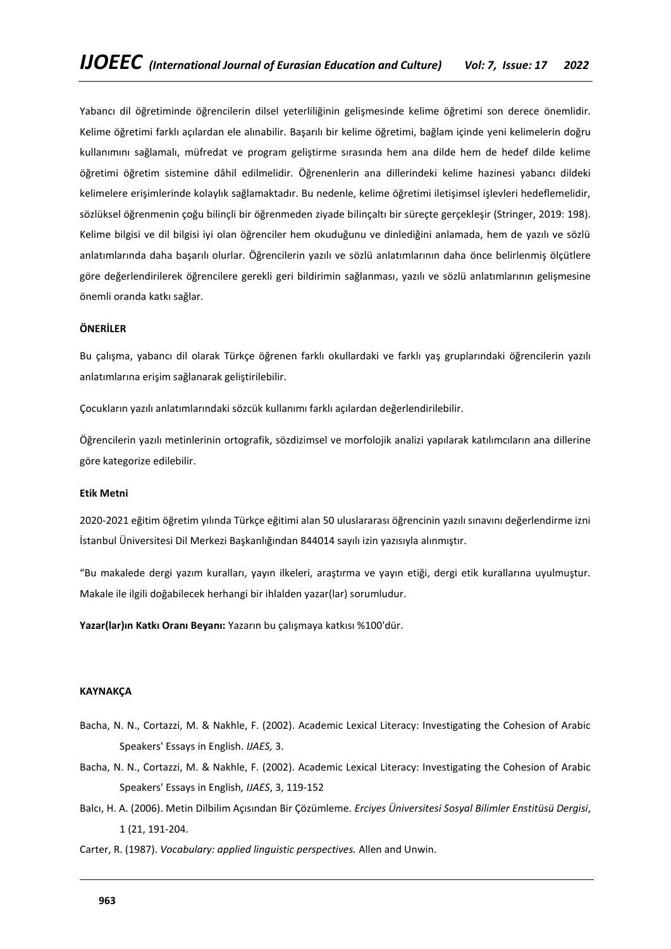Yabancı dil öğretiminde öğrencilerin dilsel yeterliliğinin gelişmesinde kelime öğretimi son derece önemlidir. Kelime öğretimi farklı açılardan ele alınabilir. Başarılı bir kelime öğretimi, bağlam içinde yeni kelimelerin doğru kullanımını sağlamalı, müfredat ve program geliştirme sırasında hem ana dilde hem de hedef dilde kelime öğretimi öğretim sistemine dâhil edilmelidir. Öğrenenlerin ana dillerindeki kelime hazinesi yabancı dildeki kelimelere erişimlerinde kolaylık sağlamaktadır. Bu nedenle, kelime öğretimi iletişimsel işlevleri hedeflemelidir, sözlüksel öğrenmenin çoğu bilinçli bir öğrenmeden ziyade bilinçaltı bir süreçte gerçekleşir (Stringer, 2019: 198). Kelime bilgisi ve dil bilgisi iyi olan öğrenciler hem okuduğunu ve dinlediğini anlamada, hem de yazılı ve sözlü anlatımlarında daha başarılı olurlar. Öğrencilerin yazılı ve sözlü anlatımlarının daha önce belirlenmiş ölçütlere göre değerlendirilerek öğrencilere gerekli geri bildirimin sağlanması, yazılı ve sözlü anlatımlarının gelişmesine önemli oranda katkı sağlar.

#### **ÖNERİLER**

Bu çalışma, yabancı dil olarak Türkçe öğrenen farklı okullardaki ve farklı yaş gruplarındaki öğrencilerin yazılı anlatımlarına erişim sağlanarak geliştirilebilir.

Çocukların yazılı anlatımlarındaki sözcük kullanımı farklı açılardan değerlendirilebilir.

Öğrencilerin yazılı metinlerinin ortografik, sözdizimsel ve morfolojik analizi yapılarak katılımcıların ana dillerine göre kategorize edilebilir.

#### **Etik Metni**

2020-2021 eğitim öğretim yılında Türkçe eğitimi alan 50 uluslararası öğrencinin yazılı sınavını değerlendirme izni İstanbul Üniversitesi Dil Merkezi Başkanlığından 844014 sayılı izin yazısıyla alınmıştır.

"Bu makalede dergi yazım kuralları, yayın ilkeleri, araştırma ve yayın etiği, dergi etik kurallarına uyulmuştur. Makale ile ilgili doğabilecek herhangi bir ihlalden yazar(lar) sorumludur.

**Yazar(lar)ın Katkı Oranı Beyanı:** Yazarın bu çalışmaya katkısı %100'dür.

### **KAYNAKÇA**

- Bacha, N. N., Cortazzi, M. & Nakhle, F. (2002). Academic Lexical Literacy: Investigating the Cohesion of Arabic Speakers' Essays in English. *IJAES,* 3.
- Bacha, N. N., Cortazzi, M. & Nakhle, F. (2002). Academic Lexical Literacy: Investigating the Cohesion of Arabic Speakers' Essays in English*, IJAES*, 3, 119-152
- Balcı, H. A. (2006). Metin Dilbilim Açısından Bir Çözümleme. *Erciyes Üniversitesi Sosyal Bilimler Enstitüsü Dergisi*, 1 (21, 191-204.
- Carter, R. (1987). *Vocabulary: applied linguistic perspectives.* Allen and Unwin.